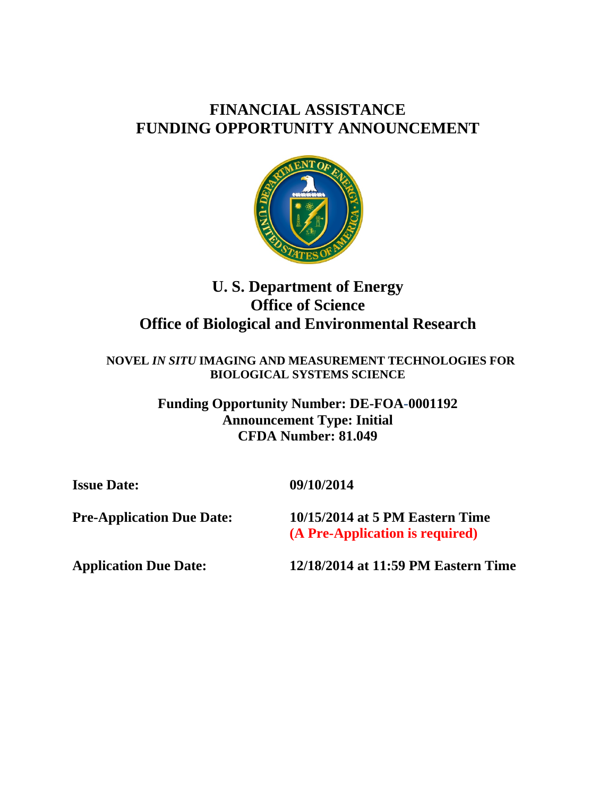# **FINANCIAL ASSISTANCE FUNDING OPPORTUNITY ANNOUNCEMENT**



# **U. S. Department of Energy Office of Science Office of Biological and Environmental Research**

 **NOVEL** *IN SITU* **IMAGING AND MEASUREMENT TECHNOLOGIES FOR BIOLOGICAL SYSTEMS SCIENCE** 

> **Funding Opportunity Number: DE-FOA-0001192 Announcement Type: Initial CFDA Number: 81.049**

**Issue Date: 09/10/2014** 

**Pre-Application Due Date: 10/15/2014 at 5 PM Eastern Time (A Pre-Application is required)** 

**Application Due Date: 12/18/2014 at 11:59 PM Eastern Time**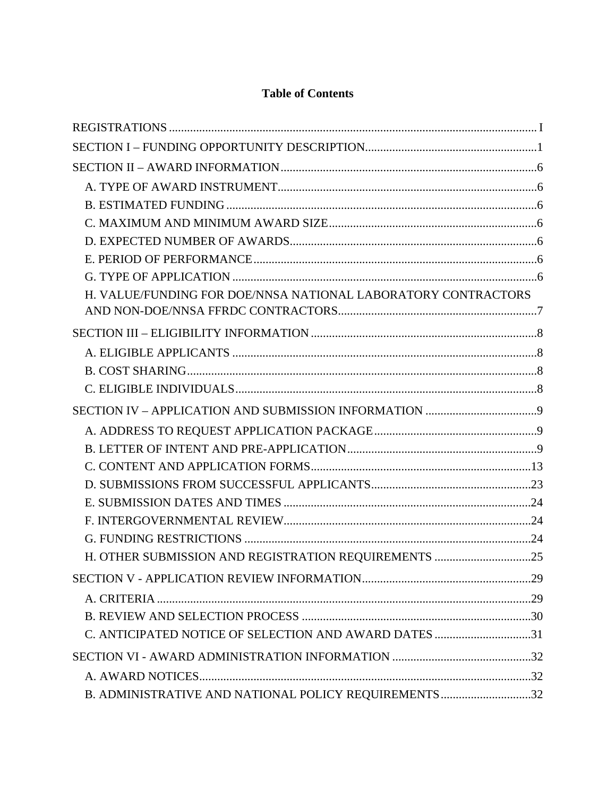## **Table of Contents**

| H. VALUE/FUNDING FOR DOE/NNSA NATIONAL LABORATORY CONTRACTORS |  |
|---------------------------------------------------------------|--|
|                                                               |  |
|                                                               |  |
|                                                               |  |
|                                                               |  |
|                                                               |  |
|                                                               |  |
|                                                               |  |
|                                                               |  |
|                                                               |  |
|                                                               |  |
|                                                               |  |
|                                                               |  |
|                                                               |  |
| H. OTHER SUBMISSION AND REGISTRATION REQUIREMENTS 25          |  |
|                                                               |  |
|                                                               |  |
|                                                               |  |
| C. ANTICIPATED NOTICE OF SELECTION AND AWARD DATES 31         |  |
|                                                               |  |
|                                                               |  |
| B. ADMINISTRATIVE AND NATIONAL POLICY REQUIREMENTS 32         |  |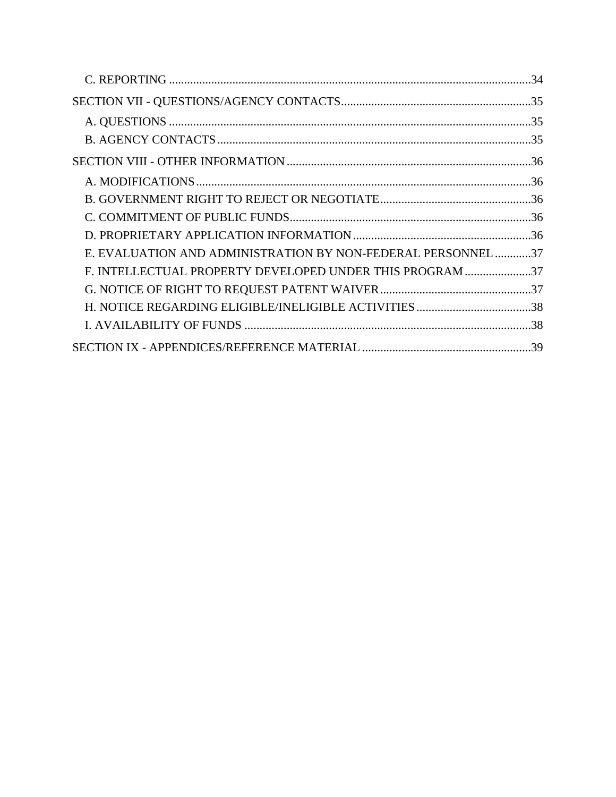| E. EVALUATION AND ADMINISTRATION BY NON-FEDERAL PERSONNEL37 |  |
|-------------------------------------------------------------|--|
| F. INTELLECTUAL PROPERTY DEVELOPED UNDER THIS PROGRAM 37    |  |
|                                                             |  |
|                                                             |  |
|                                                             |  |
|                                                             |  |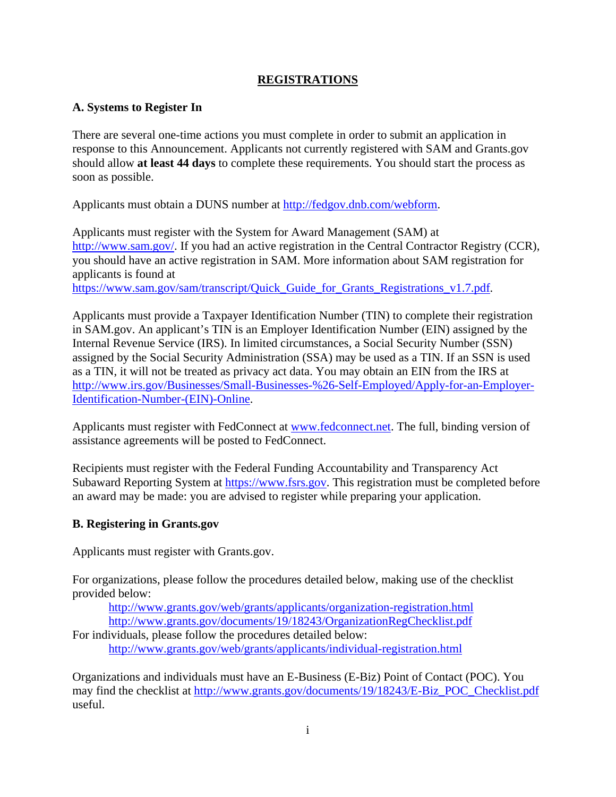## **REGISTRATIONS**

#### **A. Systems to Register In**

There are several one-time actions you must complete in order to submit an application in response to this Announcement. Applicants not currently registered with SAM and [Grants.gov](https://Grants.gov)  should allow **at least 44 days** to complete these requirements. You should start the process as soon as possible.

Applicants must obtain a DUNS number at [http://fedgov.dnb.com/webform.](http://fedgov.dnb.com/webform)

Applicants must register with the System for Award Management (SAM) at [http://www.sam.gov/](http://www.sam.gov). If you had an active registration in the Central Contractor Registry (CCR), you should have an active registration in SAM. More information about SAM registration for applicants is found at

[https://www.sam.gov/sam/transcript/Quick\\_Guide\\_for\\_Grants\\_Registrations\\_v1.7.pdf](https://www.sam.gov/sam/transcript/Quick_Guide_for_Grants_Registrations_v1.7.pdf).

Applicants must provide a Taxpayer Identification Number (TIN) to complete their registration in SAM.gov. An applicant's TIN is an Employer Identification Number (EIN) assigned by the Internal Revenue Service (IRS). In limited circumstances, a Social Security Number (SSN) assigned by the Social Security Administration (SSA) may be used as a TIN. If an SSN is used as a TIN, it will not be treated as privacy act data. You may obtain an EIN from the IRS at <http://www.irs.gov/Businesses/Small-Businesses-%26-Self-Employed/Apply-for-an-Employer>-Identification-Number-(EIN)-Online.

Applicants must register with FedConnect at [www.fedconnect.net.](www.fedconnect.net) The full, binding version of assistance agreements will be posted to FedConnect.

Recipients must register with the Federal Funding Accountability and Transparency Act Subaward Reporting System at [https://www.fsrs.gov.](https://www.fsrs.gov) This registration must be completed before an award may be made: you are advised to register while preparing your application.

## **B. Registering in [Grants.gov](https://Grants.gov)**

Applicants must register with [Grants.gov.](https://Grants.gov)

For organizations, please follow the procedures detailed below, making use of the checklist provided below:

<http://www.grants.gov/web/grants/applicants/organization-registration.html> <http://www.grants.gov/documents/19/18243/OrganizationRegChecklist.pdf>

For individuals, please follow the procedures detailed below: <http://www.grants.gov/web/grants/applicants/individual-registration.html>

Organizations and individuals must have an E-Business (E-Biz) Point of Contact (POC). You may find the checklist at [http://www.grants.gov/documents/19/18243/E-Biz\\_POC\\_Checklist.pdf](http://www.grants.gov/documents/19/18243/E-Biz_POC_Checklist.pdf)  useful.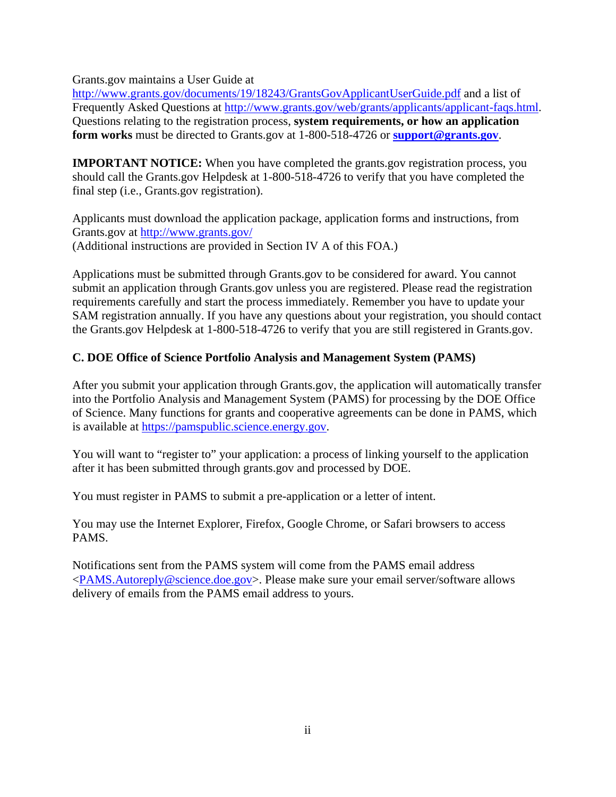[Grants.gov](https://Grants.gov) maintains a User Guide at

<http://www.grants.gov/documents/19/18243/GrantsGovApplicantUserGuide.pdf> and a list of Frequently Asked Questions at [http://www.grants.gov/web/grants/applicants/applicant-faqs.html.](http://www.grants.gov/web/grants/applicants/applicant-faqs.html) Questions relating to the registration process, **system requirements, or how an application form works** must be directed to [Grants.gov](https://Grants.gov) at 1-800-518-4726 or **[support@grants.gov](mailto:support@grants.gov)**.

**IMPORTANT NOTICE:** When you have completed the [grants.gov](https://grants.gov) registration process, you should call the [Grants.gov](https://Grants.gov) Helpdesk at 1-800-518-4726 to verify that you have completed the final step (i.e., [Grants.gov](https://Grants.gov) registration).

Grants.gov at http://www.grants.gov/ Applicants must download the application package, application forms and instructions, from (Additional instructions are provided in Section IV A of this FOA.)

Applications must be submitted through [Grants.gov](https://Grants.gov) to be considered for award. You cannot submit an application through [Grants.gov](https://Grants.gov) unless you are registered. Please read the registration requirements carefully and start the process immediately. Remember you have to update your SAM registration annually. If you have any questions about your registration, you should contact the [Grants.gov](https://Grants.gov) Helpdesk at 1-800-518-4726 to verify that you are still registered in [Grants.gov.](https://Grants.gov)

## **C. DOE Office of Science Portfolio Analysis and Management System (PAMS)**

After you submit your application through [Grants.gov,](https://Grants.gov) the application will automatically transfer into the Portfolio Analysis and Management System (PAMS) for processing by the DOE Office of Science. Many functions for grants and cooperative agreements can be done in PAMS, which is available at<https://pamspublic.science.energy.gov>.

You will want to "register to" your application: a process of linking yourself to the application after it has been submitted through [grants.gov](https://grants.gov) and processed by DOE.

You must register in PAMS to submit a pre-application or a letter of intent.

You may use the Internet Explorer, Firefox, Google Chrome, or Safari browsers to access PAMS.

Notifications sent from the PAMS system will come from the PAMS email address <[PAMS.Autoreply@science.doe.gov>](mailto:PAMS.Autoreply@science.doe.gov). Please make sure your email server/software allows delivery of emails from the PAMS email address to yours.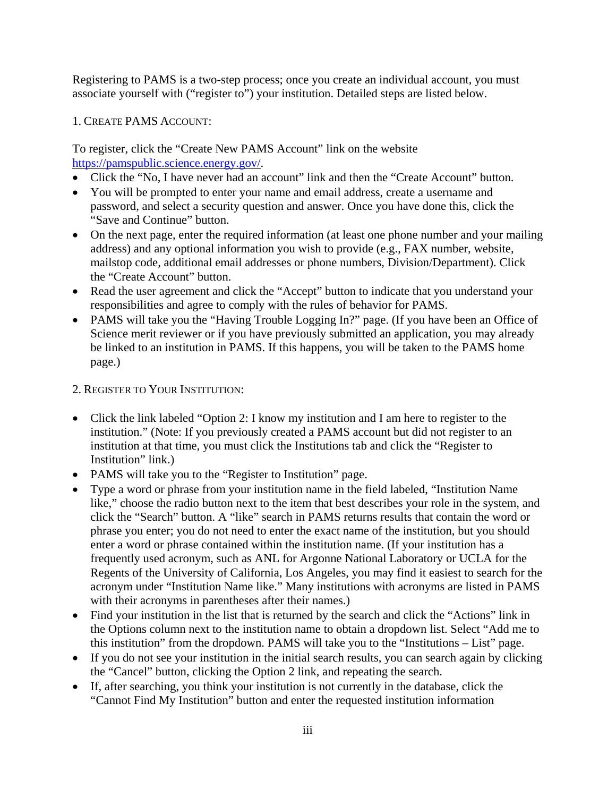Registering to PAMS is a two-step process; once you create an individual account, you must associate yourself with ("register to") your institution. Detailed steps are listed below.

#### 1. CREATE PAMS ACCOUNT:

To register, click the "Create New PAMS Account" link on the website [https://pamspublic.science.energy.gov/](https://pamspublic.science.energy.gov).

- Click the "No, I have never had an account" link and then the "Create Account" button.
- You will be prompted to enter your name and email address, create a username and password, and select a security question and answer. Once you have done this, click the "Save and Continue" button.
- On the next page, enter the required information (at least one phone number and your mailing address) and any optional information you wish to provide (e.g., FAX number, website, mailstop code, additional email addresses or phone numbers, Division/Department). Click the "Create Account" button.
- Read the user agreement and click the "Accept" button to indicate that you understand your responsibilities and agree to comply with the rules of behavior for PAMS.
- PAMS will take you the "Having Trouble Logging In?" page. (If you have been an Office of Science merit reviewer or if you have previously submitted an application, you may already be linked to an institution in PAMS. If this happens, you will be taken to the PAMS home page.)
- 2. REGISTER TO YOUR INSTITUTION:
- Click the link labeled "Option 2: I know my institution and I am here to register to the institution." (Note: If you previously created a PAMS account but did not register to an institution at that time, you must click the Institutions tab and click the "Register to Institution" link.)
- PAMS will take you to the "Register to Institution" page.
- Type a word or phrase from your institution name in the field labeled, "Institution Name like," choose the radio button next to the item that best describes your role in the system, and click the "Search" button. A "like" search in PAMS returns results that contain the word or phrase you enter; you do not need to enter the exact name of the institution, but you should enter a word or phrase contained within the institution name. (If your institution has a frequently used acronym, such as ANL for Argonne National Laboratory or UCLA for the Regents of the University of California, Los Angeles, you may find it easiest to search for the acronym under "Institution Name like." Many institutions with acronyms are listed in PAMS with their acronyms in parentheses after their names.)
- Find your institution in the list that is returned by the search and click the "Actions" link in the Options column next to the institution name to obtain a dropdown list. Select "Add me to this institution" from the dropdown. PAMS will take you to the "Institutions – List" page.
- If you do not see your institution in the initial search results, you can search again by clicking the "Cancel" button, clicking the Option 2 link, and repeating the search.
- If, after searching, you think your institution is not currently in the database, click the "Cannot Find My Institution" button and enter the requested institution information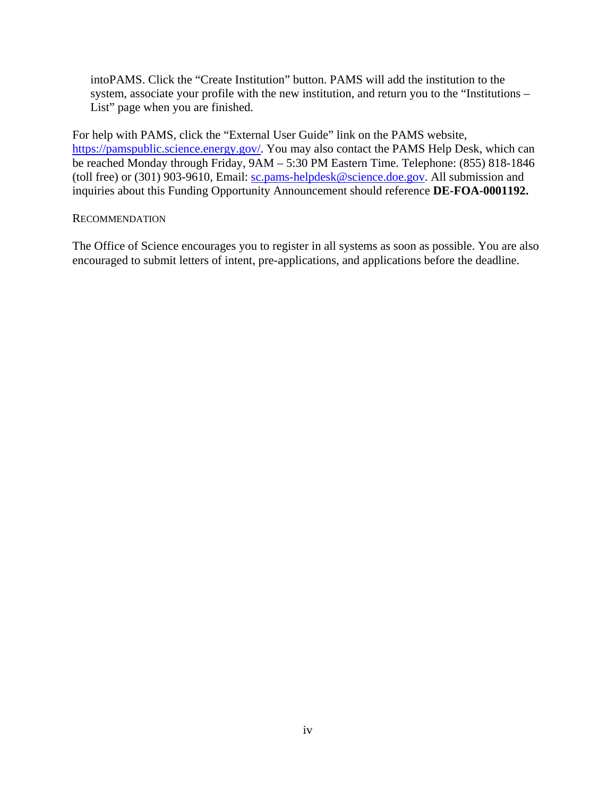intoPAMS. Click the "Create Institution" button. PAMS will add the institution to the system, associate your profile with the new institution, and return you to the "Institutions – List" page when you are finished.

For help with PAMS, click the "External User Guide" link on the PAMS website, [https://pamspublic.science.energy.gov/](https://pamspublic.science.energy.gov). You may also contact the PAMS Help Desk, which can be reached Monday through Friday, 9AM – 5:30 PM Eastern Time. Telephone: (855) 818-1846 (toll free) or (301) 903-9610, Email: [sc.pams-helpdesk@science.doe.gov](mailto:sc.pams-helpdesk@science.doe.gov). All submission and inquiries about this Funding Opportunity Announcement should reference **DE-FOA-0001192.** 

#### **RECOMMENDATION**

The Office of Science encourages you to register in all systems as soon as possible. You are also encouraged to submit letters of intent, pre-applications, and applications before the deadline.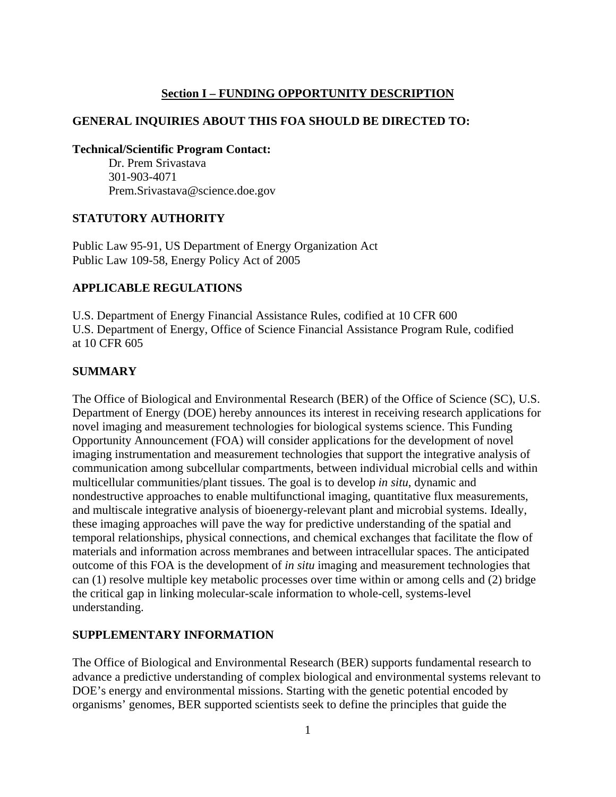#### **Section I – FUNDING OPPORTUNITY DESCRIPTION**

#### <span id="page-7-0"></span>**GENERAL INQUIRIES ABOUT THIS FOA SHOULD BE DIRECTED TO:**

**Technical/Scientific Program Contact:** 

Dr. Prem Srivastava 301-903-4071 [Prem.Srivastava@science.doe.gov](mailto:Prem.Srivastava@science.doe.gov)

#### **STATUTORY AUTHORITY**

Public Law 95-91, US Department of Energy Organization Act Public Law 109-58, Energy Policy Act of 2005

#### **APPLICABLE REGULATIONS**

U.S. Department of Energy Financial Assistance Rules, codified at 10 CFR 600 U.S. Department of Energy, Office of Science Financial Assistance Program Rule, codified at 10 CFR 605

#### **SUMMARY**

The Office of Biological and Environmental Research (BER) of the Office of Science (SC), U.S. Department of Energy (DOE) hereby announces its interest in receiving research applications for novel imaging and measurement technologies for biological systems science. This Funding Opportunity Announcement (FOA) will consider applications for the development of novel imaging instrumentation and measurement technologies that support the integrative analysis of communication among subcellular compartments, between individual microbial cells and within multicellular communities/plant tissues. The goal is to develop *in situ*, dynamic and nondestructive approaches to enable multifunctional imaging, quantitative flux measurements, and multiscale integrative analysis of bioenergy-relevant plant and microbial systems. Ideally, these imaging approaches will pave the way for predictive understanding of the spatial and temporal relationships, physical connections, and chemical exchanges that facilitate the flow of materials and information across membranes and between intracellular spaces. The anticipated outcome of this FOA is the development of *in situ* imaging and measurement technologies that can (1) resolve multiple key metabolic processes over time within or among cells and (2) bridge the critical gap in linking molecular-scale information to whole-cell, systems-level understanding.

#### **SUPPLEMENTARY INFORMATION**

The Office of Biological and Environmental Research (BER) supports fundamental research to advance a predictive understanding of complex biological and environmental systems relevant to DOE's energy and environmental missions. Starting with the genetic potential encoded by organisms' genomes, BER supported scientists seek to define the principles that guide the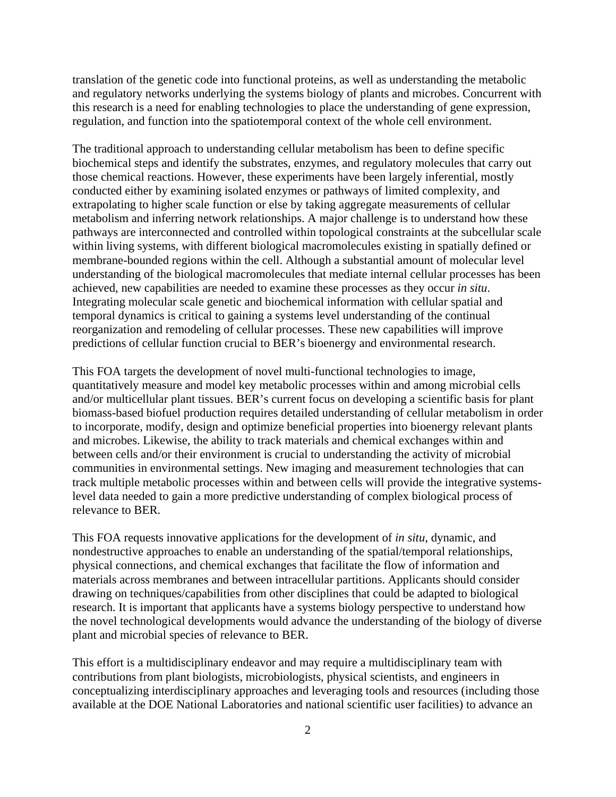translation of the genetic code into functional proteins, as well as understanding the metabolic and regulatory networks underlying the systems biology of plants and microbes. Concurrent with this research is a need for enabling technologies to place the understanding of gene expression, regulation, and function into the spatiotemporal context of the whole cell environment.

The traditional approach to understanding cellular metabolism has been to define specific biochemical steps and identify the substrates, enzymes, and regulatory molecules that carry out those chemical reactions. However, these experiments have been largely inferential, mostly conducted either by examining isolated enzymes or pathways of limited complexity, and extrapolating to higher scale function or else by taking aggregate measurements of cellular metabolism and inferring network relationships. A major challenge is to understand how these pathways are interconnected and controlled within topological constraints at the subcellular scale within living systems, with different biological macromolecules existing in spatially defined or membrane-bounded regions within the cell. Although a substantial amount of molecular level understanding of the biological macromolecules that mediate internal cellular processes has been achieved, new capabilities are needed to examine these processes as they occur *in situ*. Integrating molecular scale genetic and biochemical information with cellular spatial and temporal dynamics is critical to gaining a systems level understanding of the continual reorganization and remodeling of cellular processes. These new capabilities will improve predictions of cellular function crucial to BER's bioenergy and environmental research.

This FOA targets the development of novel multi-functional technologies to image, quantitatively measure and model key metabolic processes within and among microbial cells and/or multicellular plant tissues. BER's current focus on developing a scientific basis for plant biomass-based biofuel production requires detailed understanding of cellular metabolism in order to incorporate, modify, design and optimize beneficial properties into bioenergy relevant plants and microbes. Likewise, the ability to track materials and chemical exchanges within and between cells and/or their environment is crucial to understanding the activity of microbial communities in environmental settings. New imaging and measurement technologies that can track multiple metabolic processes within and between cells will provide the integrative systemslevel data needed to gain a more predictive understanding of complex biological process of relevance to BER.

This FOA requests innovative applications for the development of *in situ*, dynamic, and nondestructive approaches to enable an understanding of the spatial/temporal relationships, physical connections, and chemical exchanges that facilitate the flow of information and materials across membranes and between intracellular partitions. Applicants should consider drawing on techniques/capabilities from other disciplines that could be adapted to biological research. It is important that applicants have a systems biology perspective to understand how the novel technological developments would advance the understanding of the biology of diverse plant and microbial species of relevance to BER.

This effort is a multidisciplinary endeavor and may require a multidisciplinary team with contributions from plant biologists, microbiologists, physical scientists, and engineers in conceptualizing interdisciplinary approaches and leveraging tools and resources (including those available at the DOE National Laboratories and national scientific user facilities) to advance an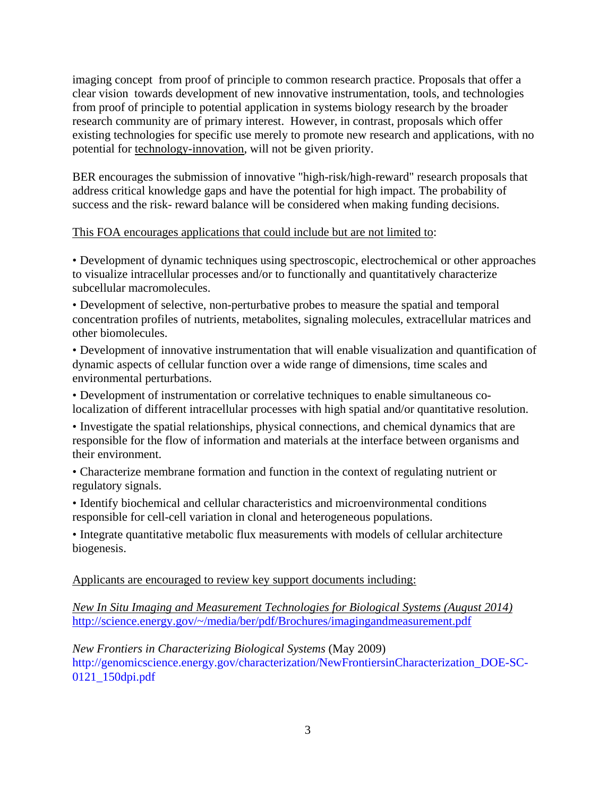imaging concept from proof of principle to common research practice. Proposals that offer a clear vision towards development of new innovative instrumentation, tools, and technologies from proof of principle to potential application in systems biology research by the broader research community are of primary interest. However, in contrast, proposals which offer existing technologies for specific use merely to promote new research and applications, with no potential for technology-innovation, will not be given priority.

BER encourages the submission of innovative "high-risk/high-reward" research proposals that address critical knowledge gaps and have the potential for high impact. The probability of success and the risk- reward balance will be considered when making funding decisions.

#### This FOA encourages applications that could include but are not limited to:

• Development of dynamic techniques using spectroscopic, electrochemical or other approaches to visualize intracellular processes and/or to functionally and quantitatively characterize subcellular macromolecules.

• Development of selective, non-perturbative probes to measure the spatial and temporal concentration profiles of nutrients, metabolites, signaling molecules, extracellular matrices and other biomolecules.

• Development of innovative instrumentation that will enable visualization and quantification of dynamic aspects of cellular function over a wide range of dimensions, time scales and environmental perturbations.

• Development of instrumentation or correlative techniques to enable simultaneous colocalization of different intracellular processes with high spatial and/or quantitative resolution.

• Investigate the spatial relationships, physical connections, and chemical dynamics that are responsible for the flow of information and materials at the interface between organisms and their environment.

• Characterize membrane formation and function in the context of regulating nutrient or regulatory signals.

• Identify biochemical and cellular characteristics and microenvironmental conditions responsible for cell-cell variation in clonal and heterogeneous populations.

• Integrate quantitative metabolic flux measurements with models of cellular architecture biogenesis.

 Applicants are encouraged to review key support documents including:

*New In Situ Imaging and Measurement Technologies for Biological Systems (August 2014)*  <http://science.energy.gov/~/media/ber/pdf/Brochures/imagingandmeasurement.pdf>

0121 150dpi.pdf *New Frontiers in Characterizing Biological Systems* (May 2009) [http://genomicscience.energy.gov/characterization/NewFrontiersinCharacterization\\_DOE-SC](http://genomicscience.energy.gov/characterization/NewFrontiersinCharacterization_DOE-SC)-0121\_150dpi.pdf<br>3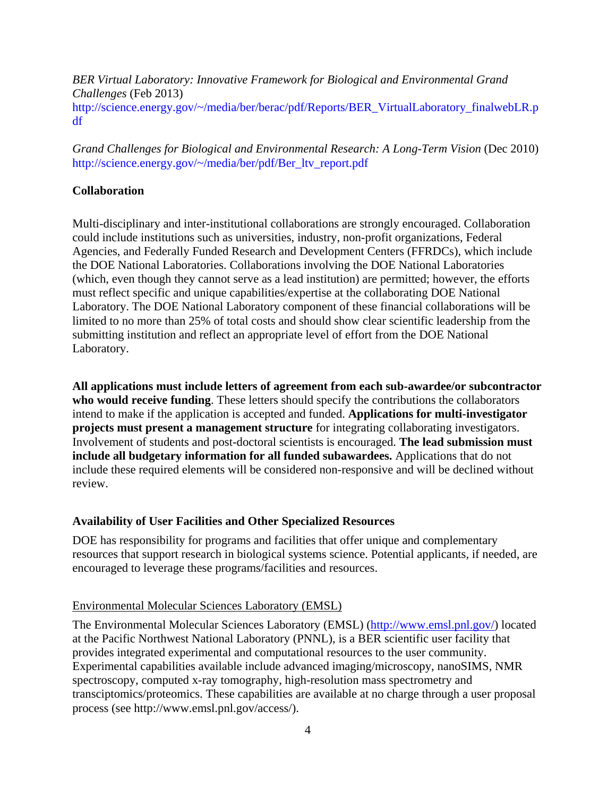df *BER Virtual Laboratory: Innovative Framework for Biological and Environmental Grand Challenges* (Feb 2013) [http://science.energy.gov/~/media/ber/berac/pdf/Reports/BER\\_VirtualLaboratory\\_finalwebLR.p](http://science.energy.gov/~/media/ber/berac/pdf/Reports/BER_VirtualLaboratory_finalwebLR.p)

*Grand Challenges for Biological and Environmental Research: A Long-Term Vision* (Dec 2010) [http://science.energy.gov/~/media/ber/pdf/Ber\\_ltv\\_report.pdf](http://science.energy.gov/~/media/ber/pdf/Ber_ltv_report.pdf)

#### **Collaboration**

Multi-disciplinary and inter-institutional collaborations are strongly encouraged. Collaboration could include institutions such as universities, industry, non-profit organizations, Federal Agencies, and Federally Funded Research and Development Centers (FFRDCs), which include the DOE National Laboratories. Collaborations involving the DOE National Laboratories (which, even though they cannot serve as a lead institution) are permitted; however, the efforts must reflect specific and unique capabilities/expertise at the collaborating DOE National Laboratory. The DOE National Laboratory component of these financial collaborations will be limited to no more than 25% of total costs and should show clear scientific leadership from the submitting institution and reflect an appropriate level of effort from the DOE National Laboratory.

**All applications must include letters of agreement from each sub-awardee/or subcontractor who would receive funding**. These letters should specify the contributions the collaborators intend to make if the application is accepted and funded. **Applications for multi-investigator projects must present a management structure** for integrating collaborating investigators. Involvement of students and post-doctoral scientists is encouraged. **The lead submission must include all budgetary information for all funded subawardees.** Applications that do not include these required elements will be considered non-responsive and will be declined without review.

#### **Availability of User Facilities and Other Specialized Resources**

DOE has responsibility for programs and facilities that offer unique and complementary resources that support research in biological systems science. Potential applicants, if needed, are encouraged to leverage these programs/facilities and resources.

#### Environmental Molecular Sciences Laboratory (EMSL)

The Environmental Molecular Sciences Laboratory (EMSL) (<http://www.emsl.pnl.gov>/) located at the Pacific Northwest National Laboratory (PNNL), is a BER scientific user facility that provides integrated experimental and computational resources to the user community. Experimental capabilities available include advanced imaging/microscopy, nanoSIMS, NMR spectroscopy, computed x-ray tomography, high-resolution mass spectrometry and transciptomics/proteomics. These capabilities are available at no charge through a user proposal process (see [http://www.emsl.pnl.gov/access/](http://www.emsl.pnl.gov/access)).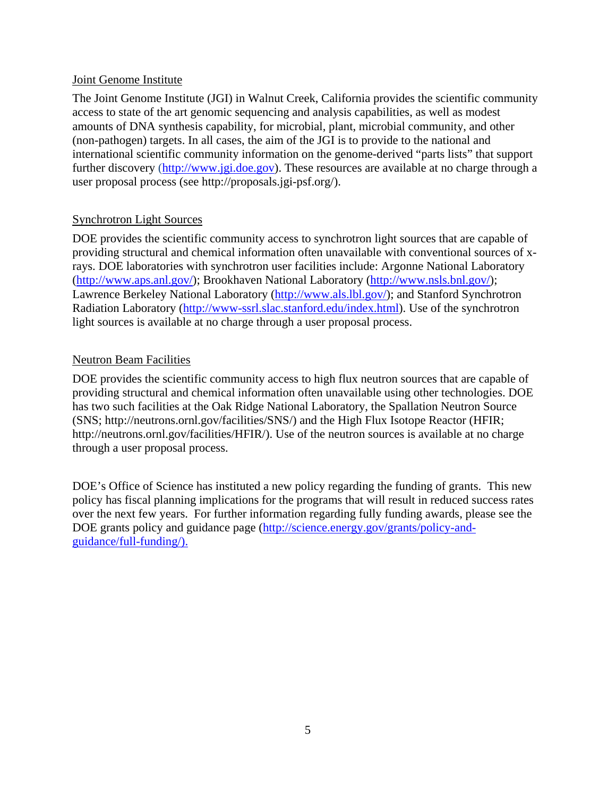#### Joint Genome Institute

The Joint Genome Institute (JGI) in Walnut Creek, California provides the scientific community access to state of the art genomic sequencing and analysis capabilities, as well as modest amounts of DNA synthesis capability, for microbial, plant, microbial community, and other (non-pathogen) targets. In all cases, the aim of the JGI is to provide to the national and international scientific community information on the genome-derived "parts lists" that support further discovery [\(http://www.jgi.doe.gov\)](http://www.jgi.doe.gov). These resources are available at no charge through a user proposal process (see [http://proposals.jgi-psf.org/](http://proposals.jgi-psf.org)).

## Synchrotron Light Sources

DOE provides the scientific community access to synchrotron light sources that are capable of providing structural and chemical information often unavailable with conventional sources of xrays. DOE laboratories with synchrotron user facilities include: Argonne National Laboratory (<http://www.aps.anl.gov>/); Brookhaven National Laboratory [\(http://www.nsls.bnl.gov/](http://www.nsls.bnl.gov)); Lawrence Berkeley National Laboratory [\(http://www.als.lbl.gov/](http://www.als.lbl.gov)); and Stanford Synchrotron Radiation Laboratory [\(http://www-ssrl.slac.stanford.edu/index.html\)](http://www-ssrl.slac.stanford.edu/index.html). Use of the synchrotron light sources is available at no charge through a user proposal process.

## Neutron Beam Facilities

DOE provides the scientific community access to high flux neutron sources that are capable of providing structural and chemical information often unavailable using other technologies. DOE has two such facilities at the Oak Ridge National Laboratory, the Spallation Neutron Source (SNS; [http://neutrons.ornl.gov/facilities/SNS/](http://neutrons.ornl.gov/facilities/SNS)) and the High Flux Isotope Reactor (HFIR; [http://neutrons.ornl.gov/facilities/HFIR/](http://neutrons.ornl.gov/facilities/HFIR)). Use of the neutron sources is available at no charge through a user proposal process.

DOE's Office of Science has instituted a new policy regarding the funding of grants. This new policy has fiscal planning implications for the programs that will result in reduced success rates over the next few years. For further information regarding fully funding awards, please see the DOE grants policy and guidance page [\(http://science.energy.gov/grants/policy-and](http://science.energy.gov/grants/policy-and)guidance/full-funding/).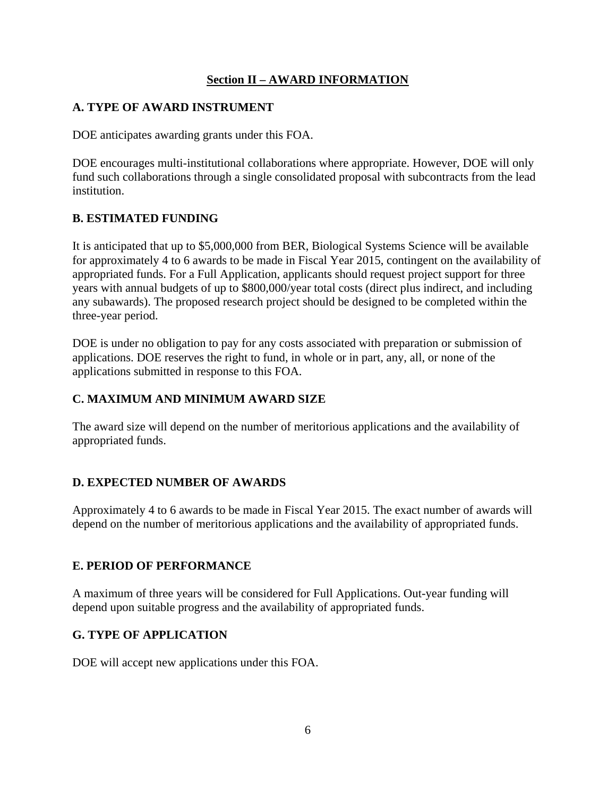## **Section II – AWARD INFORMATION**

## <span id="page-12-0"></span>**A. TYPE OF AWARD INSTRUMENT**

DOE anticipates awarding grants under this FOA.

DOE encourages multi-institutional collaborations where appropriate. However, DOE will only fund such collaborations through a single consolidated proposal with subcontracts from the lead institution.

## **B. ESTIMATED FUNDING**

It is anticipated that up to \$5,000,000 from BER, Biological Systems Science will be available for approximately 4 to 6 awards to be made in Fiscal Year 2015, contingent on the availability of appropriated funds. For a Full Application, applicants should request project support for three years with annual budgets of up to \$800,000/year total costs (direct plus indirect, and including any subawards). The proposed research project should be designed to be completed within the three-year period.

DOE is under no obligation to pay for any costs associated with preparation or submission of applications. DOE reserves the right to fund, in whole or in part, any, all, or none of the applications submitted in response to this FOA.

## **C. MAXIMUM AND MINIMUM AWARD SIZE**

The award size will depend on the number of meritorious applications and the availability of appropriated funds.

## **D. EXPECTED NUMBER OF AWARDS**

Approximately 4 to 6 awards to be made in Fiscal Year 2015. The exact number of awards will depend on the number of meritorious applications and the availability of appropriated funds.

## **E. PERIOD OF PERFORMANCE**

A maximum of three years will be considered for Full Applications. Out-year funding will depend upon suitable progress and the availability of appropriated funds.

## **G. TYPE OF APPLICATION**

DOE will accept new applications under this FOA.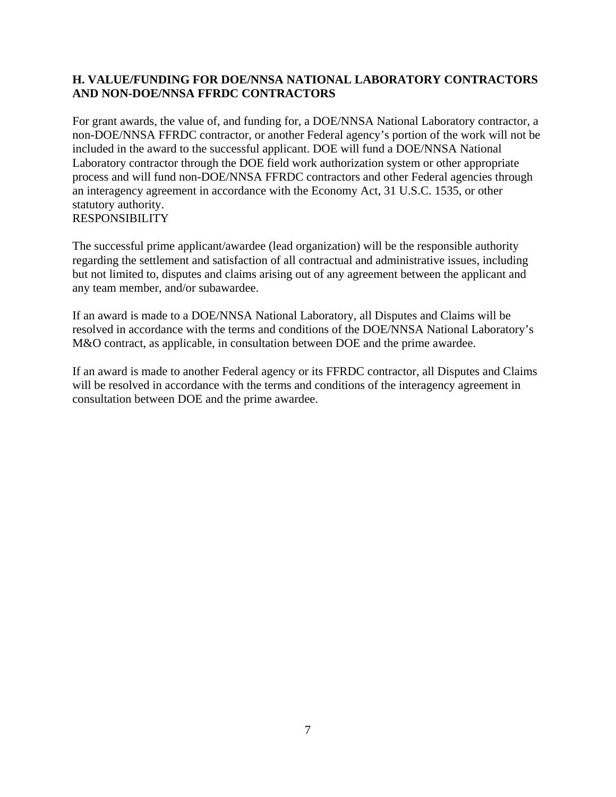## <span id="page-13-0"></span>**H. VALUE/FUNDING FOR DOE/NNSA NATIONAL LABORATORY CONTRACTORS AND NON-DOE/NNSA FFRDC CONTRACTORS**

For grant awards, the value of, and funding for, a DOE/NNSA National Laboratory contractor, a non-DOE/NNSA FFRDC contractor, or another Federal agency's portion of the work will not be included in the award to the successful applicant. DOE will fund a DOE/NNSA National Laboratory contractor through the DOE field work authorization system or other appropriate process and will fund non-DOE/NNSA FFRDC contractors and other Federal agencies through an interagency agreement in accordance with the Economy Act, 31 U.S.C. 1535, or other statutory authority. RESPONSIBILITY

The successful prime applicant/awardee (lead organization) will be the responsible authority regarding the settlement and satisfaction of all contractual and administrative issues, including but not limited to, disputes and claims arising out of any agreement between the applicant and any team member, and/or subawardee.

If an award is made to a DOE/NNSA National Laboratory, all Disputes and Claims will be resolved in accordance with the terms and conditions of the DOE/NNSA National Laboratory's M&O contract, as applicable, in consultation between DOE and the prime awardee.

If an award is made to another Federal agency or its FFRDC contractor, all Disputes and Claims will be resolved in accordance with the terms and conditions of the interagency agreement in consultation between DOE and the prime awardee.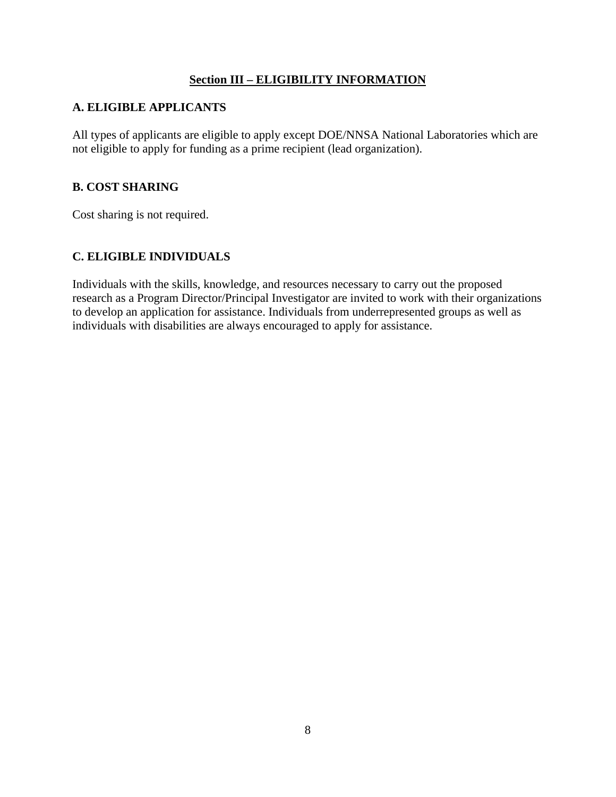#### **Section III – ELIGIBILITY INFORMATION**

#### <span id="page-14-0"></span>**A. ELIGIBLE APPLICANTS**

All types of applicants are eligible to apply except DOE/NNSA National Laboratories which are not eligible to apply for funding as a prime recipient (lead organization).

#### **B. COST SHARING**

Cost sharing is not required.

#### **C. ELIGIBLE INDIVIDUALS**

Individuals with the skills, knowledge, and resources necessary to carry out the proposed research as a Program Director/Principal Investigator are invited to work with their organizations to develop an application for assistance. Individuals from underrepresented groups as well as individuals with disabilities are always encouraged to apply for assistance.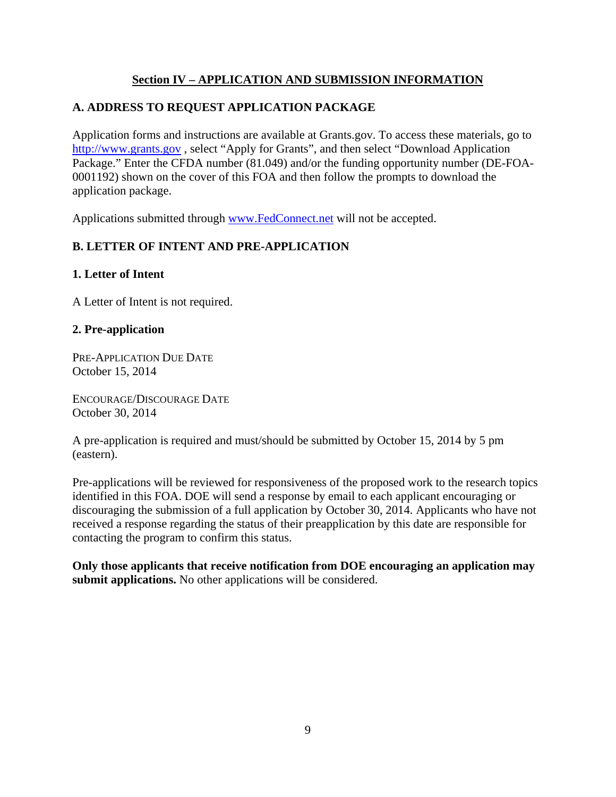## **Section IV – APPLICATION AND SUBMISSION INFORMATION**

## <span id="page-15-0"></span>**A. ADDRESS TO REQUEST APPLICATION PACKAGE**

Application forms and instructions are available at [Grants.gov.](https://Grants.gov) To access these materials, go to <http://www.grants.gov> , select "Apply for Grants", and then select "Download Application Package." Enter the CFDA number (81.049) and/or the funding opportunity number (DE-FOA-0001192) shown on the cover of this FOA and then follow the prompts to download the application package.

Applications submitted through <www.FedConnect.net>will not be accepted.

## **B. LETTER OF INTENT AND PRE-APPLICATION**

#### **1. Letter of Intent**

A Letter of Intent is not required.

#### **2. Pre-application**

PRE-APPLICATION DUE DATE October 15, 2014

ENCOURAGE/DISCOURAGE DATE October 30, 2014

A pre-application is required and must/should be submitted by October 15, 2014 by 5 pm (eastern).

Pre-applications will be reviewed for responsiveness of the proposed work to the research topics identified in this FOA. DOE will send a response by email to each applicant encouraging or discouraging the submission of a full application by October 30, 2014. Applicants who have not received a response regarding the status of their preapplication by this date are responsible for contacting the program to confirm this status.

**Only those applicants that receive notification from DOE encouraging an application may submit applications.** No other applications will be considered.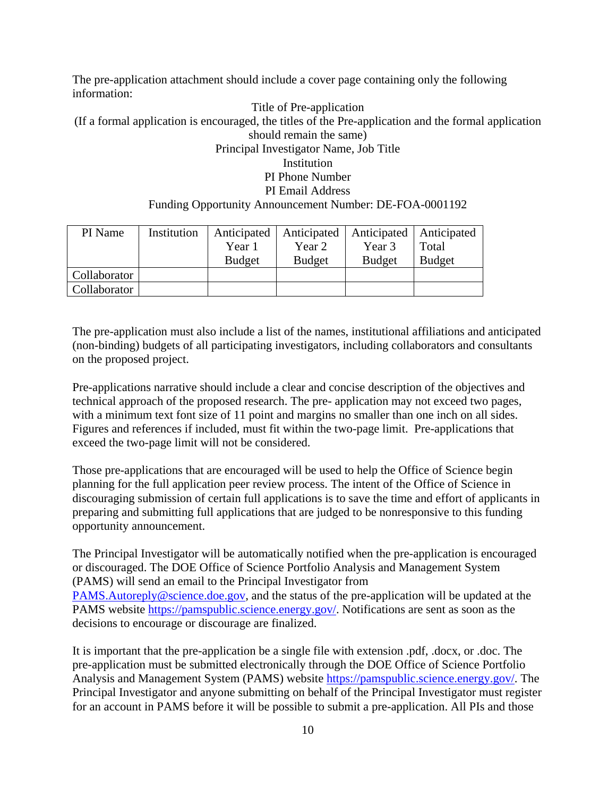The pre-application attachment should include a cover page containing only the following information:

Title of Pre-application (If a formal application is encouraged, the titles of the Pre-application and the formal application should remain the same) Principal Investigator Name, Job Title Institution PI Phone Number PI Email Address Funding Opportunity Announcement Number: DE-FOA-0001192

| PI Name      | Institution | Anticipated<br>Year 1<br><b>Budget</b> | Year 2<br><b>Budget</b> | Anticipated   Anticipated   Anticipated<br>Year 3<br><b>Budget</b> | Total<br><b>Budget</b> |
|--------------|-------------|----------------------------------------|-------------------------|--------------------------------------------------------------------|------------------------|
| Collaborator |             |                                        |                         |                                                                    |                        |
| Collaborator |             |                                        |                         |                                                                    |                        |

The pre-application must also include a list of the names, institutional affiliations and anticipated (non-binding) budgets of all participating investigators, including collaborators and consultants on the proposed project.

Pre-applications narrative should include a clear and concise description of the objectives and technical approach of the proposed research. The pre- application may not exceed two pages, with a minimum text font size of 11 point and margins no smaller than one inch on all sides. Figures and references if included, must fit within the two-page limit. Pre-applications that exceed the two-page limit will not be considered.

Those pre-applications that are encouraged will be used to help the Office of Science begin planning for the full application peer review process. The intent of the Office of Science in discouraging submission of certain full applications is to save the time and effort of applicants in preparing and submitting full applications that are judged to be nonresponsive to this funding opportunity announcement.

The Principal Investigator will be automatically notified when the pre-application is encouraged or discouraged. The DOE Office of Science Portfolio Analysis and Management System (PAMS) will send an email to the Principal Investigator from [PAMS.Autoreply@science.doe.gov](mailto:PAMS.Autoreply@science.doe.gov), and the status of the pre-application will be updated at the PAMS website [https://pamspublic.science.energy.gov/](https://pamspublic.science.energy.gov). Notifications are sent as soon as the decisions to encourage or discourage are finalized.

It is important that the pre-application be a single file with extension .pdf, .docx, or .doc. The pre-application must be submitted electronically through the DOE Office of Science Portfolio Analysis and Management System (PAMS) website <https://pamspublic.science.energy.gov>/. The Principal Investigator and anyone submitting on behalf of the Principal Investigator must register for an account in PAMS before it will be possible to submit a pre-application. All PIs and those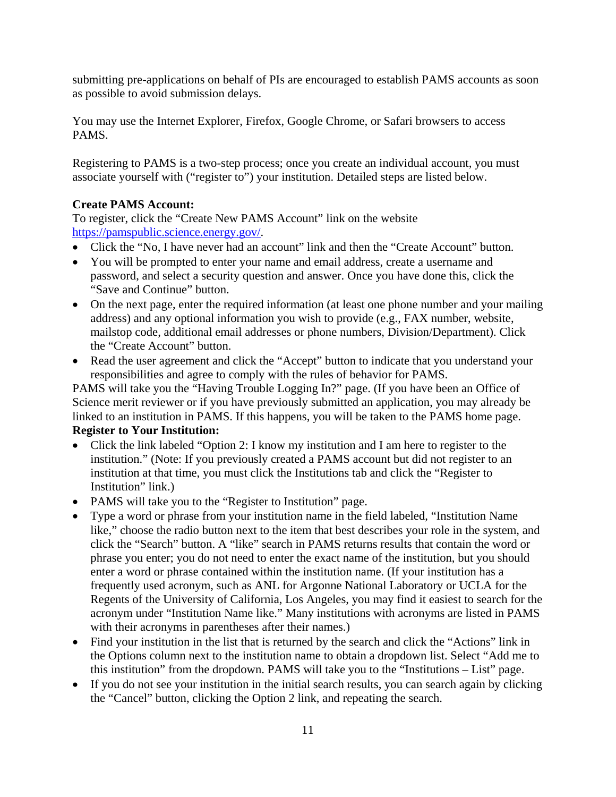submitting pre-applications on behalf of PIs are encouraged to establish PAMS accounts as soon as possible to avoid submission delays.

You may use the Internet Explorer, Firefox, Google Chrome, or Safari browsers to access PAMS.

Registering to PAMS is a two-step process; once you create an individual account, you must associate yourself with ("register to") your institution. Detailed steps are listed below.

## **Create PAMS Account:**

To register, click the "Create New PAMS Account" link on the website [https://pamspublic.science.energy.gov/](https://pamspublic.science.energy.gov).

- Click the "No, I have never had an account" link and then the "Create Account" button.
- You will be prompted to enter your name and email address, create a username and password, and select a security question and answer. Once you have done this, click the "Save and Continue" button.
- On the next page, enter the required information (at least one phone number and your mailing address) and any optional information you wish to provide (e.g., FAX number, website, mailstop code, additional email addresses or phone numbers, Division/Department). Click the "Create Account" button.
- Read the user agreement and click the "Accept" button to indicate that you understand your responsibilities and agree to comply with the rules of behavior for PAMS.

PAMS will take you the "Having Trouble Logging In?" page. (If you have been an Office of Science merit reviewer or if you have previously submitted an application, you may already be linked to an institution in PAMS. If this happens, you will be taken to the PAMS home page. **Register to Your Institution:** 

- Click the link labeled "Option 2: I know my institution and I am here to register to the institution." (Note: If you previously created a PAMS account but did not register to an institution at that time, you must click the Institutions tab and click the "Register to Institution" link.)
- PAMS will take you to the "Register to Institution" page.
- Type a word or phrase from your institution name in the field labeled, "Institution Name like," choose the radio button next to the item that best describes your role in the system, and click the "Search" button. A "like" search in PAMS returns results that contain the word or phrase you enter; you do not need to enter the exact name of the institution, but you should enter a word or phrase contained within the institution name. (If your institution has a frequently used acronym, such as ANL for Argonne National Laboratory or UCLA for the Regents of the University of California, Los Angeles, you may find it easiest to search for the acronym under "Institution Name like." Many institutions with acronyms are listed in PAMS with their acronyms in parentheses after their names.)
- Find your institution in the list that is returned by the search and click the "Actions" link in the Options column next to the institution name to obtain a dropdown list. Select "Add me to this institution" from the dropdown. PAMS will take you to the "Institutions – List" page.
- If you do not see your institution in the initial search results, you can search again by clicking the "Cancel" button, clicking the Option 2 link, and repeating the search.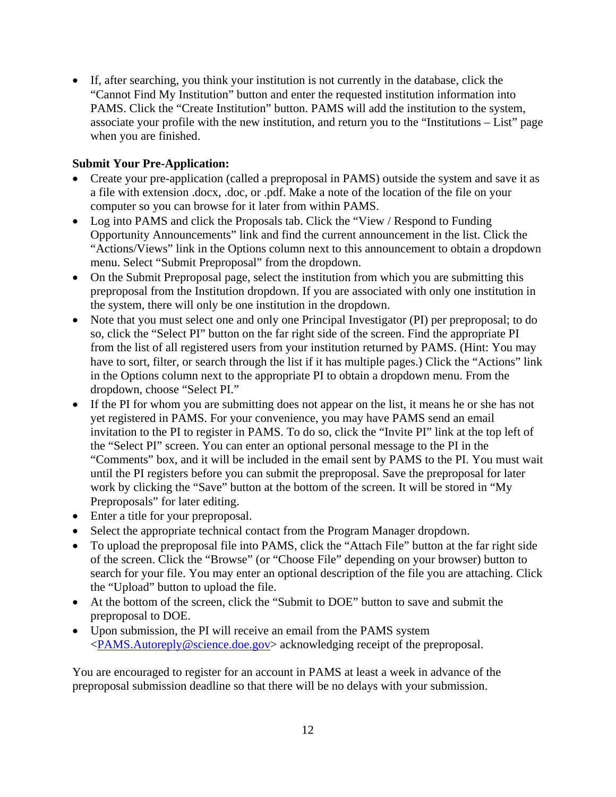If, after searching, you think your institution is not currently in the database, click the "Cannot Find My Institution" button and enter the requested institution information into PAMS. Click the "Create Institution" button. PAMS will add the institution to the system, associate your profile with the new institution, and return you to the "Institutions – List" page when you are finished.

## **Submit Your Pre-Application:**

- Create your pre-application (called a preproposal in PAMS) outside the system and save it as a file with extension .docx, .doc, or .pdf. Make a note of the location of the file on your computer so you can browse for it later from within PAMS.
- Log into PAMS and click the Proposals tab. Click the "View / Respond to Funding Opportunity Announcements" link and find the current announcement in the list. Click the "Actions/Views" link in the Options column next to this announcement to obtain a dropdown menu. Select "Submit Preproposal" from the dropdown.
- On the Submit Preproposal page, select the institution from which you are submitting this preproposal from the Institution dropdown. If you are associated with only one institution in the system, there will only be one institution in the dropdown.
- Note that you must select one and only one Principal Investigator (PI) per preproposal; to do so, click the "Select PI" button on the far right side of the screen. Find the appropriate PI from the list of all registered users from your institution returned by PAMS. (Hint: You may have to sort, filter, or search through the list if it has multiple pages.) Click the "Actions" link in the Options column next to the appropriate PI to obtain a dropdown menu. From the dropdown, choose "Select PI."
- If the PI for whom you are submitting does not appear on the list, it means he or she has not yet registered in PAMS. For your convenience, you may have PAMS send an email invitation to the PI to register in PAMS. To do so, click the "Invite PI" link at the top left of the "Select PI" screen. You can enter an optional personal message to the PI in the "Comments" box, and it will be included in the email sent by PAMS to the PI. You must wait until the PI registers before you can submit the preproposal. Save the preproposal for later work by clicking the "Save" button at the bottom of the screen. It will be stored in "My Preproposals" for later editing.
- Enter a title for your preproposal.
- Select the appropriate technical contact from the Program Manager dropdown.
- To upload the preproposal file into PAMS, click the "Attach File" button at the far right side of the screen. Click the "Browse" (or "Choose File" depending on your browser) button to search for your file. You may enter an optional description of the file you are attaching. Click the "Upload" button to upload the file.
- At the bottom of the screen, click the "Submit to DOE" button to save and submit the preproposal to DOE.
- Upon submission, the PI will receive an email from the PAMS system <[PAMS.Autoreply@science.doe.gov>](mailto:PAMS.Autoreply@science.doe.gov) acknowledging receipt of the preproposal.

You are encouraged to register for an account in PAMS at least a week in advance of the preproposal submission deadline so that there will be no delays with your submission.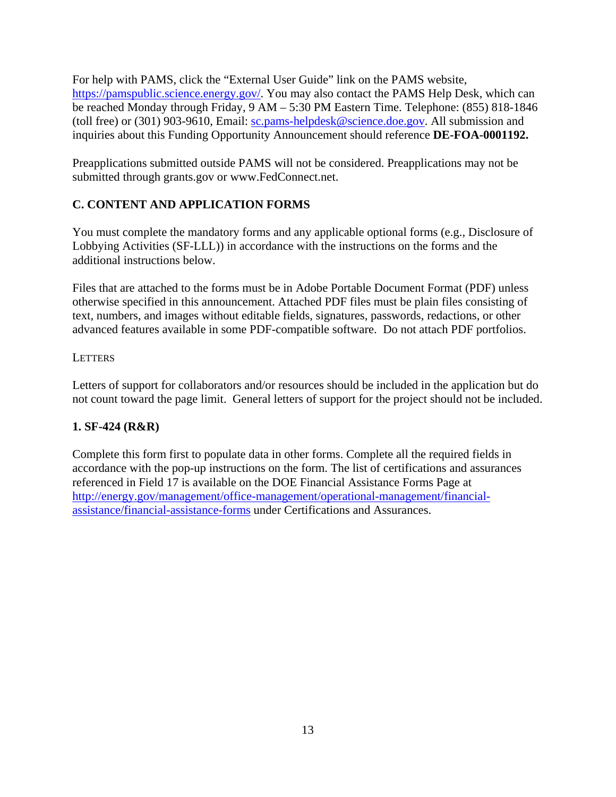<span id="page-19-0"></span>For help with PAMS, click the "External User Guide" link on the PAMS website, [https://pamspublic.science.energy.gov/](https://pamspublic.science.energy.gov). You may also contact the PAMS Help Desk, which can be reached Monday through Friday, 9 AM – 5:30 PM Eastern Time. Telephone: (855) 818-1846 (toll free) or (301) 903-9610, Email: [sc.pams-helpdesk@science.doe.gov](mailto:sc.pams-helpdesk@science.doe.gov). All submission and inquiries about this Funding Opportunity Announcement should reference **DE-FOA-0001192.** 

Preapplications submitted outside PAMS will not be considered. Preapplications may not be submitted through [grants.gov](https://grants.gov) or [www.FedConnect.net.](www.FedConnect.net)

## **C. CONTENT AND APPLICATION FORMS**

You must complete the mandatory forms and any applicable optional forms (e.g., Disclosure of Lobbying Activities (SF-LLL)) in accordance with the instructions on the forms and the additional instructions below.

Files that are attached to the forms must be in Adobe Portable Document Format (PDF) unless otherwise specified in this announcement. Attached PDF files must be plain files consisting of text, numbers, and images without editable fields, signatures, passwords, redactions, or other advanced features available in some PDF-compatible software. Do not attach PDF portfolios.

## **LETTERS**

Letters of support for collaborators and/or resources should be included in the application but do not count toward the page limit. General letters of support for the project should not be included.

## **1. SF-424 (R&R)**

Complete this form first to populate data in other forms. Complete all the required fields in accordance with the pop-up instructions on the form. The list of certifications and assurances referenced in Field 17 is available on the DOE Financial Assistance Forms Page at <http://energy.gov/management/office-management/operational-management/financial>assistance/financial-assistance-forms under Certifications and Assurances.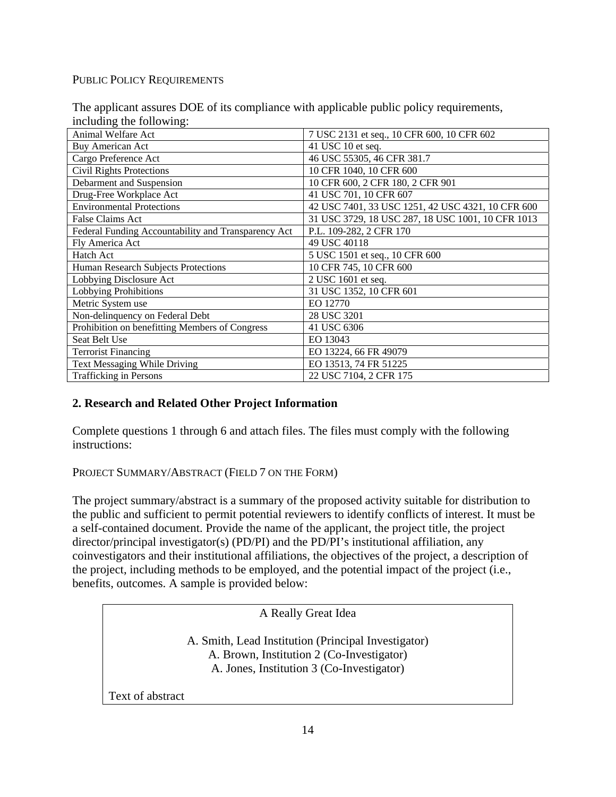#### PUBLIC POLICY REQUIREMENTS

| $m$ and $m1$ and $m2$ .                             |                                                   |
|-----------------------------------------------------|---------------------------------------------------|
| <b>Animal Welfare Act</b>                           | 7 USC 2131 et seq., 10 CFR 600, 10 CFR 602        |
| <b>Buy American Act</b>                             | 41 USC 10 et seq.                                 |
| Cargo Preference Act                                | 46 USC 55305, 46 CFR 381.7                        |
| <b>Civil Rights Protections</b>                     | 10 CFR 1040, 10 CFR 600                           |
| Debarment and Suspension                            | 10 CFR 600, 2 CFR 180, 2 CFR 901                  |
| Drug-Free Workplace Act                             | 41 USC 701, 10 CFR 607                            |
| <b>Environmental Protections</b>                    | 42 USC 7401, 33 USC 1251, 42 USC 4321, 10 CFR 600 |
| False Claims Act                                    | 31 USC 3729, 18 USC 287, 18 USC 1001, 10 CFR 1013 |
| Federal Funding Accountability and Transparency Act | P.L. 109-282, 2 CFR 170                           |
| Fly America Act                                     | 49 USC 40118                                      |
| <b>Hatch Act</b>                                    | 5 USC 1501 et seq., 10 CFR 600                    |
| Human Research Subjects Protections                 | 10 CFR 745, 10 CFR 600                            |
| Lobbying Disclosure Act                             | 2 USC 1601 et seq.                                |
| Lobbying Prohibitions                               | 31 USC 1352, 10 CFR 601                           |
| Metric System use                                   | EO 12770                                          |
| Non-delinquency on Federal Debt                     | 28 USC 3201                                       |
| Prohibition on benefitting Members of Congress      | 41 USC 6306                                       |
| Seat Belt Use                                       | EO 13043                                          |
| <b>Terrorist Financing</b>                          | EO 13224, 66 FR 49079                             |
| Text Messaging While Driving                        | EO 13513, 74 FR 51225                             |
| <b>Trafficking in Persons</b>                       | 22 USC 7104, 2 CFR 175                            |

The applicant assures DOE of its compliance with applicable public policy requirements, including the following:

## **2. Research and Related Other Project Information**

Complete questions 1 through 6 and attach files. The files must comply with the following instructions:

#### PROJECT SUMMARY/ABSTRACT (FIELD 7 ON THE FORM)

The project summary/abstract is a summary of the proposed activity suitable for distribution to the public and sufficient to permit potential reviewers to identify conflicts of interest. It must be a self-contained document. Provide the name of the applicant, the project title, the project director/principal investigator(s) (PD/PI) and the PD/PI's institutional affiliation, any coinvestigators and their institutional affiliations, the objectives of the project, a description of the project, including methods to be employed, and the potential impact of the project (i.e., benefits, outcomes. A sample is provided below:

A Really Great Idea

A. Smith, Lead Institution (Principal Investigator) A. Brown, Institution 2 (Co-Investigator) A. Jones, Institution 3 (Co-Investigator)

Text of abstract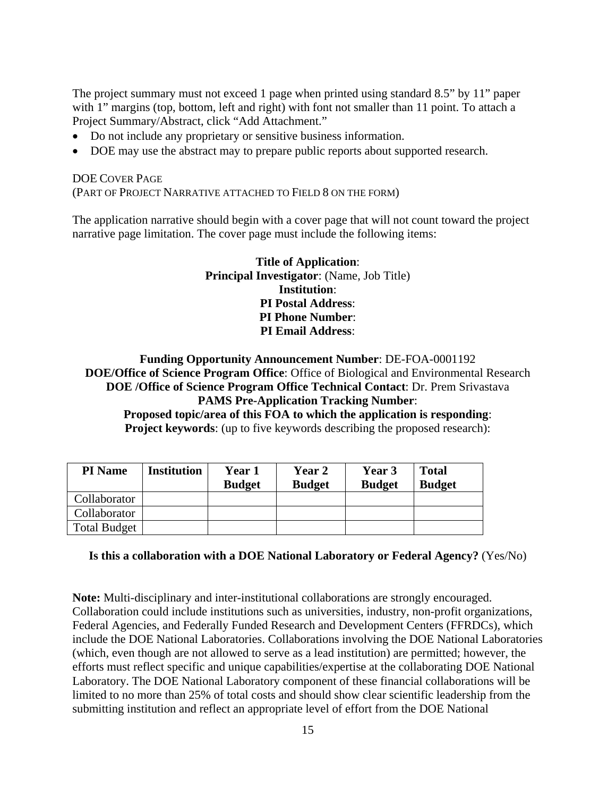The project summary must not exceed 1 page when printed using standard 8.5" by 11" paper with 1" margins (top, bottom, left and right) with font not smaller than 11 point. To attach a Project Summary/Abstract, click "Add Attachment."

- Do not include any proprietary or sensitive business information.
- DOE may use the abstract may to prepare public reports about supported research.

#### DOE COVER PAGE (PART OF PROJECT NARRATIVE ATTACHED TO FIELD 8 ON THE FORM)

The application narrative should begin with a cover page that will not count toward the project narrative page limitation. The cover page must include the following items:

> **Title of Application**: **Principal Investigator**: (Name, Job Title) **Institution**: **PI Postal Address**: **PI Phone Number**: **PI Email Address**:

#### **Funding Opportunity Announcement Number**: DE-FOA-0001192 **DOE/Office of Science Program Office**: Office of Biological and Environmental Research **DOE /Office of Science Program Office Technical Contact**: Dr. Prem Srivastava **PAMS Pre-Application Tracking Number**: **Proposed topic/area of this FOA to which the application is responding**: **Project keywords:** (up to five keywords describing the proposed research):

|  | and the second state of the second state of the second state of the second state of the second state of the second state of the second state of the second state of the second state of the second state of the second state o |  |  |  |  |
|--|--------------------------------------------------------------------------------------------------------------------------------------------------------------------------------------------------------------------------------|--|--|--|--|
|  |                                                                                                                                                                                                                                |  |  |  |  |
|  |                                                                                                                                                                                                                                |  |  |  |  |
|  |                                                                                                                                                                                                                                |  |  |  |  |

| <b>PI</b> Name      | <b>Institution</b> | Year 1        | <b>Year 2</b> | Year 3        | <b>Total</b>  |
|---------------------|--------------------|---------------|---------------|---------------|---------------|
|                     |                    | <b>Budget</b> | <b>Budget</b> | <b>Budget</b> | <b>Budget</b> |
| Collaborator        |                    |               |               |               |               |
| Collaborator        |                    |               |               |               |               |
| <b>Total Budget</b> |                    |               |               |               |               |

#### **Is this a collaboration with a DOE National Laboratory or Federal Agency?** (Yes/No)

**Note:** Multi-disciplinary and inter-institutional collaborations are strongly encouraged. Collaboration could include institutions such as universities, industry, non-profit organizations, Federal Agencies, and Federally Funded Research and Development Centers (FFRDCs), which include the DOE National Laboratories. Collaborations involving the DOE National Laboratories (which, even though are not allowed to serve as a lead institution) are permitted; however, the efforts must reflect specific and unique capabilities/expertise at the collaborating DOE National Laboratory. The DOE National Laboratory component of these financial collaborations will be limited to no more than 25% of total costs and should show clear scientific leadership from the submitting institution and reflect an appropriate level of effort from the DOE National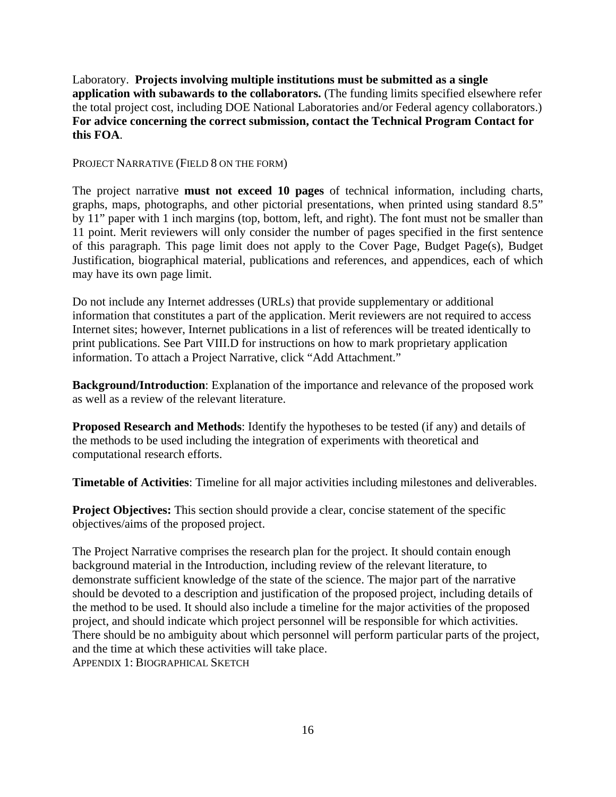Laboratory. **Projects involving multiple institutions must be submitted as a single application with subawards to the collaborators.** (The funding limits specified elsewhere refer the total project cost, including DOE National Laboratories and/or Federal agency collaborators.) **For advice concerning the correct submission, contact the Technical Program Contact for this FOA**.

PROJECT NARRATIVE (FIELD 8 ON THE FORM)

The project narrative **must not exceed 10 pages** of technical information, including charts, graphs, maps, photographs, and other pictorial presentations, when printed using standard 8.5" by 11" paper with 1 inch margins (top, bottom, left, and right). The font must not be smaller than 11 point. Merit reviewers will only consider the number of pages specified in the first sentence of this paragraph. This page limit does not apply to the Cover Page, Budget Page(s), Budget Justification, biographical material, publications and references, and appendices, each of which may have its own page limit.

Do not include any Internet addresses (URLs) that provide supplementary or additional information that constitutes a part of the application. Merit reviewers are not required to access Internet sites; however, Internet publications in a list of references will be treated identically to print publications. See Part VIII.D for instructions on how to mark proprietary application information. To attach a Project Narrative, click "Add Attachment."

**Background/Introduction**: Explanation of the importance and relevance of the proposed work as well as a review of the relevant literature.

**Proposed Research and Methods**: Identify the hypotheses to be tested (if any) and details of the methods to be used including the integration of experiments with theoretical and computational research efforts.

**Timetable of Activities**: Timeline for all major activities including milestones and deliverables.

**Project Objectives:** This section should provide a clear, concise statement of the specific objectives/aims of the proposed project.

The Project Narrative comprises the research plan for the project. It should contain enough background material in the Introduction, including review of the relevant literature, to demonstrate sufficient knowledge of the state of the science. The major part of the narrative should be devoted to a description and justification of the proposed project, including details of the method to be used. It should also include a timeline for the major activities of the proposed project, and should indicate which project personnel will be responsible for which activities. There should be no ambiguity about which personnel will perform particular parts of the project, and the time at which these activities will take place. APPENDIX 1: BIOGRAPHICAL SKETCH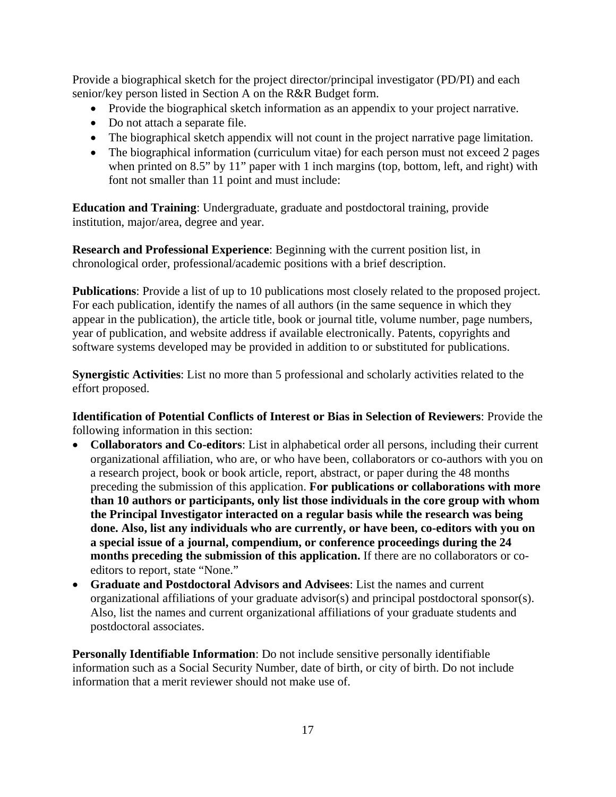Provide a biographical sketch for the project director/principal investigator (PD/PI) and each senior/key person listed in Section A on the R&R Budget form.

- Provide the biographical sketch information as an appendix to your project narrative.
- Do not attach a separate file.
- The biographical sketch appendix will not count in the project narrative page limitation.
- The biographical information (curriculum vitae) for each person must not exceed 2 pages when printed on 8.5" by 11" paper with 1 inch margins (top, bottom, left, and right) with font not smaller than 11 point and must include:

**Education and Training**: Undergraduate, graduate and postdoctoral training, provide institution, major/area, degree and year.

**Research and Professional Experience**: Beginning with the current position list, in chronological order, professional/academic positions with a brief description.

**Publications**: Provide a list of up to 10 publications most closely related to the proposed project. For each publication, identify the names of all authors (in the same sequence in which they appear in the publication), the article title, book or journal title, volume number, page numbers, year of publication, and website address if available electronically. Patents, copyrights and software systems developed may be provided in addition to or substituted for publications.

**Synergistic Activities**: List no more than 5 professional and scholarly activities related to the effort proposed.

**Identification of Potential Conflicts of Interest or Bias in Selection of Reviewers**: Provide the following information in this section:

- **Collaborators and Co-editors**: List in alphabetical order all persons, including their current organizational affiliation, who are, or who have been, collaborators or co-authors with you on a research project, book or book article, report, abstract, or paper during the 48 months preceding the submission of this application. **For publications or collaborations with more than 10 authors or participants, only list those individuals in the core group with whom the Principal Investigator interacted on a regular basis while the research was being done. Also, list any individuals who are currently, or have been, co-editors with you on a special issue of a journal, compendium, or conference proceedings during the 24 months preceding the submission of this application.** If there are no collaborators or coeditors to report, state "None."
- **Graduate and Postdoctoral Advisors and Advisees**: List the names and current organizational affiliations of your graduate advisor(s) and principal postdoctoral sponsor(s). Also, list the names and current organizational affiliations of your graduate students and postdoctoral associates.

**Personally Identifiable Information**: Do not include sensitive personally identifiable information such as a Social Security Number, date of birth, or city of birth. Do not include information that a merit reviewer should not make use of.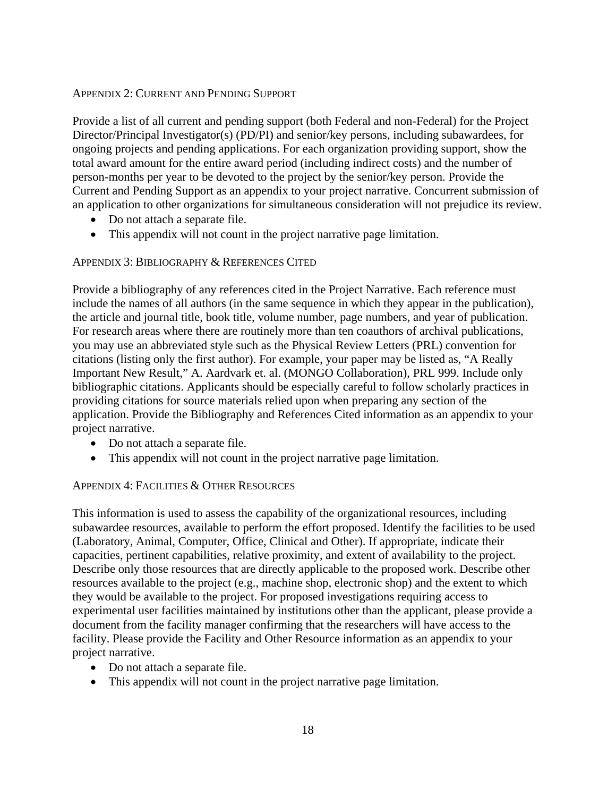#### APPENDIX 2: CURRENT AND PENDING SUPPORT

Provide a list of all current and pending support (both Federal and non-Federal) for the Project Director/Principal Investigator(s) (PD/PI) and senior/key persons, including subawardees, for ongoing projects and pending applications. For each organization providing support, show the total award amount for the entire award period (including indirect costs) and the number of person-months per year to be devoted to the project by the senior/key person. Provide the Current and Pending Support as an appendix to your project narrative. Concurrent submission of an application to other organizations for simultaneous consideration will not prejudice its review.

- Do not attach a separate file.
- This appendix will not count in the project narrative page limitation.

#### APPENDIX 3: BIBLIOGRAPHY & REFERENCES CITED

Provide a bibliography of any references cited in the Project Narrative. Each reference must include the names of all authors (in the same sequence in which they appear in the publication), the article and journal title, book title, volume number, page numbers, and year of publication. For research areas where there are routinely more than ten coauthors of archival publications, you may use an abbreviated style such as the Physical Review Letters (PRL) convention for citations (listing only the first author). For example, your paper may be listed as, "A Really Important New Result," A. Aardvark et. al. (MONGO Collaboration), PRL 999. Include only bibliographic citations. Applicants should be especially careful to follow scholarly practices in providing citations for source materials relied upon when preparing any section of the application. Provide the Bibliography and References Cited information as an appendix to your project narrative.

- Do not attach a separate file.
- This appendix will not count in the project narrative page limitation.

#### APPENDIX 4: FACILITIES & OTHER RESOURCES

This information is used to assess the capability of the organizational resources, including subawardee resources, available to perform the effort proposed. Identify the facilities to be used (Laboratory, Animal, Computer, Office, Clinical and Other). If appropriate, indicate their capacities, pertinent capabilities, relative proximity, and extent of availability to the project. Describe only those resources that are directly applicable to the proposed work. Describe other resources available to the project (e.g., machine shop, electronic shop) and the extent to which they would be available to the project. For proposed investigations requiring access to experimental user facilities maintained by institutions other than the applicant, please provide a document from the facility manager confirming that the researchers will have access to the facility. Please provide the Facility and Other Resource information as an appendix to your project narrative.

- Do not attach a separate file.
- This appendix will not count in the project narrative page limitation.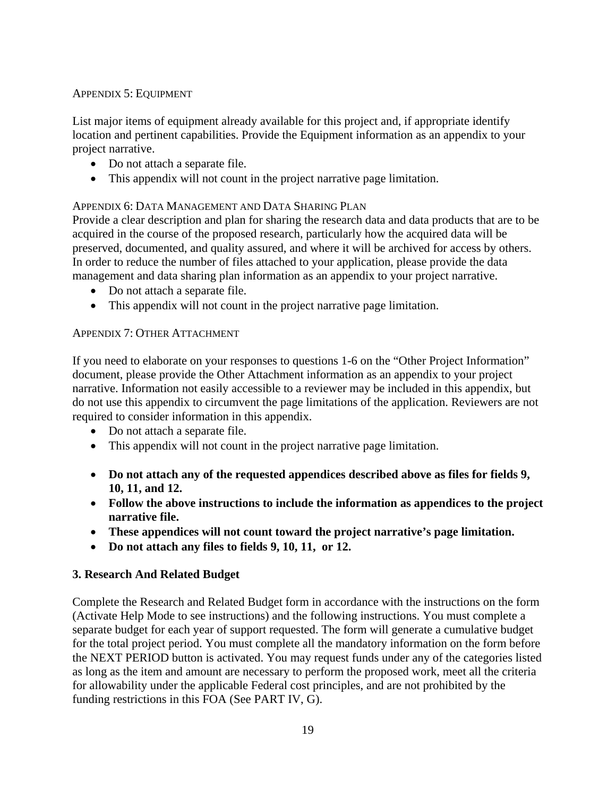#### APPENDIX 5: EQUIPMENT

List major items of equipment already available for this project and, if appropriate identify location and pertinent capabilities. Provide the Equipment information as an appendix to your project narrative.

- Do not attach a separate file.
- This appendix will not count in the project narrative page limitation.

#### APPENDIX 6: DATA MANAGEMENT AND DATA SHARING PLAN

Provide a clear description and plan for sharing the research data and data products that are to be acquired in the course of the proposed research, particularly how the acquired data will be preserved, documented, and quality assured, and where it will be archived for access by others. In order to reduce the number of files attached to your application, please provide the data management and data sharing plan information as an appendix to your project narrative.

- Do not attach a separate file.
- This appendix will not count in the project narrative page limitation.

#### APPENDIX 7: OTHER ATTACHMENT

If you need to elaborate on your responses to questions 1-6 on the "Other Project Information" document, please provide the Other Attachment information as an appendix to your project narrative. Information not easily accessible to a reviewer may be included in this appendix, but do not use this appendix to circumvent the page limitations of the application. Reviewers are not required to consider information in this appendix.

- Do not attach a separate file.
- This appendix will not count in the project narrative page limitation.
- **Do not attach any of the requested appendices described above as files for fields 9, 10, 11, and 12.**
- **Follow the above instructions to include the information as appendices to the project narrative file.**
- **These appendices will not count toward the project narrative's page limitation.**
- **Do not attach any files to fields 9, 10, 11, or 12.**

## **3. Research And Related Budget**

Complete the Research and Related Budget form in accordance with the instructions on the form (Activate Help Mode to see instructions) and the following instructions. You must complete a separate budget for each year of support requested. The form will generate a cumulative budget for the total project period. You must complete all the mandatory information on the form before the NEXT PERIOD button is activated. You may request funds under any of the categories listed as long as the item and amount are necessary to perform the proposed work, meet all the criteria for allowability under the applicable Federal cost principles, and are not prohibited by the funding restrictions in this FOA (See PART IV, G).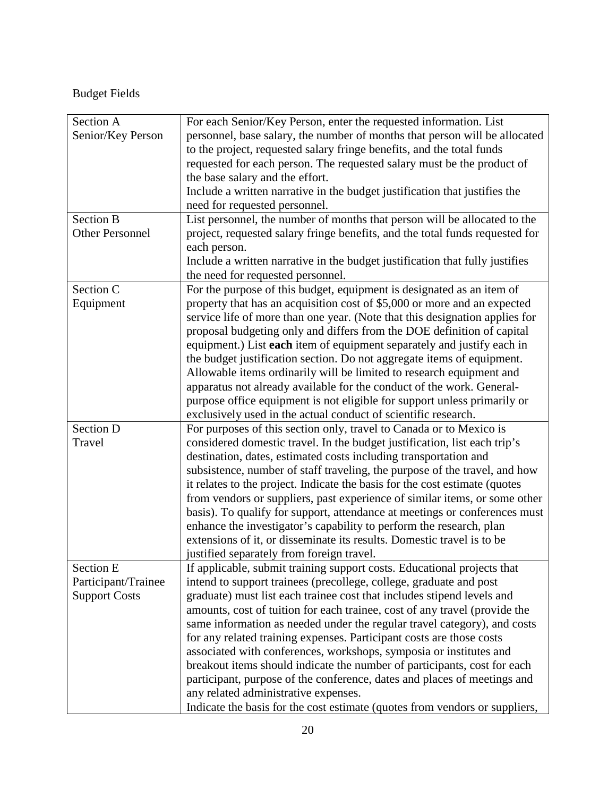# Budget Fields

| Section A              | For each Senior/Key Person, enter the requested information. List            |
|------------------------|------------------------------------------------------------------------------|
|                        |                                                                              |
| Senior/Key Person      | personnel, base salary, the number of months that person will be allocated   |
|                        | to the project, requested salary fringe benefits, and the total funds        |
|                        | requested for each person. The requested salary must be the product of       |
|                        | the base salary and the effort.                                              |
|                        | Include a written narrative in the budget justification that justifies the   |
|                        | need for requested personnel.                                                |
| <b>Section B</b>       | List personnel, the number of months that person will be allocated to the    |
| <b>Other Personnel</b> | project, requested salary fringe benefits, and the total funds requested for |
|                        | each person.                                                                 |
|                        | Include a written narrative in the budget justification that fully justifies |
|                        | the need for requested personnel.                                            |
| Section C              | For the purpose of this budget, equipment is designated as an item of        |
| Equipment              | property that has an acquisition cost of \$5,000 or more and an expected     |
|                        | service life of more than one year. (Note that this designation applies for  |
|                        | proposal budgeting only and differs from the DOE definition of capital       |
|                        | equipment.) List each item of equipment separately and justify each in       |
|                        |                                                                              |
|                        | the budget justification section. Do not aggregate items of equipment.       |
|                        | Allowable items ordinarily will be limited to research equipment and         |
|                        | apparatus not already available for the conduct of the work. General-        |
|                        | purpose office equipment is not eligible for support unless primarily or     |
|                        | exclusively used in the actual conduct of scientific research.               |
| Section D              | For purposes of this section only, travel to Canada or to Mexico is          |
| Travel                 | considered domestic travel. In the budget justification, list each trip's    |
|                        | destination, dates, estimated costs including transportation and             |
|                        | subsistence, number of staff traveling, the purpose of the travel, and how   |
|                        | it relates to the project. Indicate the basis for the cost estimate (quotes  |
|                        | from vendors or suppliers, past experience of similar items, or some other   |
|                        |                                                                              |
|                        | basis). To qualify for support, attendance at meetings or conferences must   |
|                        | enhance the investigator's capability to perform the research, plan          |
|                        | extensions of it, or disseminate its results. Domestic travel is to be       |
|                        | justified separately from foreign travel.                                    |
| <b>Section E</b>       | If applicable, submit training support costs. Educational projects that      |
| Participant/Trainee    | intend to support trainees (precollege, college, graduate and post           |
| <b>Support Costs</b>   | graduate) must list each trainee cost that includes stipend levels and       |
|                        | amounts, cost of tuition for each trainee, cost of any travel (provide the   |
|                        | same information as needed under the regular travel category), and costs     |
|                        | for any related training expenses. Participant costs are those costs         |
|                        | associated with conferences, workshops, symposia or institutes and           |
|                        | breakout items should indicate the number of participants, cost for each     |
|                        | participant, purpose of the conference, dates and places of meetings and     |
|                        |                                                                              |
|                        | any related administrative expenses.                                         |
|                        | Indicate the basis for the cost estimate (quotes from vendors or suppliers,  |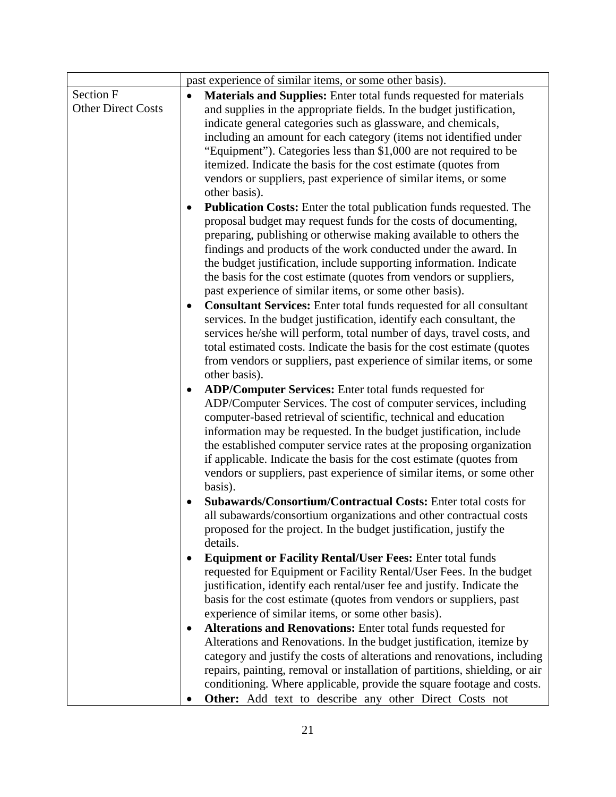|                           | past experience of similar items, or some other basis).                                                                               |
|---------------------------|---------------------------------------------------------------------------------------------------------------------------------------|
| Section F                 | <b>Materials and Supplies:</b> Enter total funds requested for materials                                                              |
| <b>Other Direct Costs</b> | and supplies in the appropriate fields. In the budget justification,                                                                  |
|                           | indicate general categories such as glassware, and chemicals,                                                                         |
|                           | including an amount for each category (items not identified under                                                                     |
|                           | "Equipment"). Categories less than \$1,000 are not required to be                                                                     |
|                           | itemized. Indicate the basis for the cost estimate (quotes from                                                                       |
|                           | vendors or suppliers, past experience of similar items, or some                                                                       |
|                           | other basis).                                                                                                                         |
|                           | <b>Publication Costs:</b> Enter the total publication funds requested. The                                                            |
|                           | proposal budget may request funds for the costs of documenting,                                                                       |
|                           | preparing, publishing or otherwise making available to others the                                                                     |
|                           | findings and products of the work conducted under the award. In                                                                       |
|                           | the budget justification, include supporting information. Indicate                                                                    |
|                           | the basis for the cost estimate (quotes from vendors or suppliers,                                                                    |
|                           | past experience of similar items, or some other basis).                                                                               |
|                           | <b>Consultant Services:</b> Enter total funds requested for all consultant<br>$\bullet$                                               |
|                           | services. In the budget justification, identify each consultant, the                                                                  |
|                           | services he/she will perform, total number of days, travel costs, and                                                                 |
|                           | total estimated costs. Indicate the basis for the cost estimate (quotes                                                               |
|                           | from vendors or suppliers, past experience of similar items, or some                                                                  |
|                           | other basis).                                                                                                                         |
|                           | <b>ADP/Computer Services:</b> Enter total funds requested for                                                                         |
|                           | ADP/Computer Services. The cost of computer services, including                                                                       |
|                           | computer-based retrieval of scientific, technical and education<br>information may be requested. In the budget justification, include |
|                           | the established computer service rates at the proposing organization                                                                  |
|                           | if applicable. Indicate the basis for the cost estimate (quotes from                                                                  |
|                           | vendors or suppliers, past experience of similar items, or some other                                                                 |
|                           | basis).                                                                                                                               |
|                           | Subawards/Consortium/Contractual Costs: Enter total costs for                                                                         |
|                           | all subawards/consortium organizations and other contractual costs                                                                    |
|                           | proposed for the project. In the budget justification, justify the                                                                    |
|                           | details.                                                                                                                              |
|                           | <b>Equipment or Facility Rental/User Fees: Enter total funds</b>                                                                      |
|                           | requested for Equipment or Facility Rental/User Fees. In the budget                                                                   |
|                           | justification, identify each rental/user fee and justify. Indicate the                                                                |
|                           | basis for the cost estimate (quotes from vendors or suppliers, past                                                                   |
|                           | experience of similar items, or some other basis).                                                                                    |
|                           | Alterations and Renovations: Enter total funds requested for                                                                          |
|                           | Alterations and Renovations. In the budget justification, itemize by                                                                  |
|                           | category and justify the costs of alterations and renovations, including                                                              |
|                           | repairs, painting, removal or installation of partitions, shielding, or air                                                           |
|                           | conditioning. Where applicable, provide the square footage and costs.                                                                 |
|                           | Other: Add text to describe any other Direct Costs not                                                                                |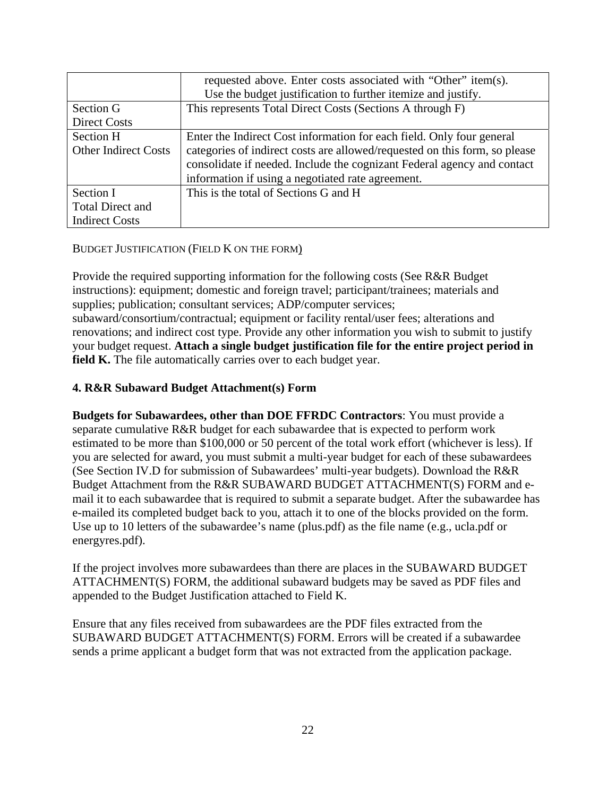|                             | requested above. Enter costs associated with "Other" item(s).              |
|-----------------------------|----------------------------------------------------------------------------|
|                             | Use the budget justification to further itemize and justify.               |
| Section G                   | This represents Total Direct Costs (Sections A through F)                  |
| <b>Direct Costs</b>         |                                                                            |
| Section H                   | Enter the Indirect Cost information for each field. Only four general      |
| <b>Other Indirect Costs</b> | categories of indirect costs are allowed/requested on this form, so please |
|                             | consolidate if needed. Include the cognizant Federal agency and contact    |
|                             | information if using a negotiated rate agreement.                          |
| Section I                   | This is the total of Sections G and H                                      |
| <b>Total Direct and</b>     |                                                                            |
| <b>Indirect Costs</b>       |                                                                            |

#### BUDGET JUSTIFICATION (FIELD K ON THE FORM)

Provide the required supporting information for the following costs (See R&R Budget instructions): equipment; domestic and foreign travel; participant/trainees; materials and supplies; publication; consultant services; ADP/computer services; subaward/consortium/contractual; equipment or facility rental/user fees; alterations and renovations; and indirect cost type. Provide any other information you wish to submit to justify your budget request. **Attach a single budget justification file for the entire project period in field K.** The file automatically carries over to each budget year.

#### **4. R&R Subaward Budget Attachment(s) Form**

**Budgets for Subawardees, other than DOE FFRDC Contractors**: You must provide a separate cumulative R&R budget for each subawardee that is expected to perform work estimated to be more than \$100,000 or 50 percent of the total work effort (whichever is less). If you are selected for award, you must submit a multi-year budget for each of these subawardees (See Section IV.D for submission of Subawardees' multi-year budgets). Download the R&R Budget Attachment from the R&R SUBAWARD BUDGET ATTACHMENT(S) FORM and email it to each subawardee that is required to submit a separate budget. After the subawardee has e-mailed its completed budget back to you, attach it to one of the blocks provided on the form. Use up to 10 letters of the subawardee's name (plus.pdf) as the file name (e.g., ucla.pdf or energyres.pdf).

If the project involves more subawardees than there are places in the SUBAWARD BUDGET ATTACHMENT(S) FORM, the additional subaward budgets may be saved as PDF files and appended to the Budget Justification attached to Field K.

Ensure that any files received from subawardees are the PDF files extracted from the SUBAWARD BUDGET ATTACHMENT(S) FORM. Errors will be created if a subawardee sends a prime applicant a budget form that was not extracted from the application package.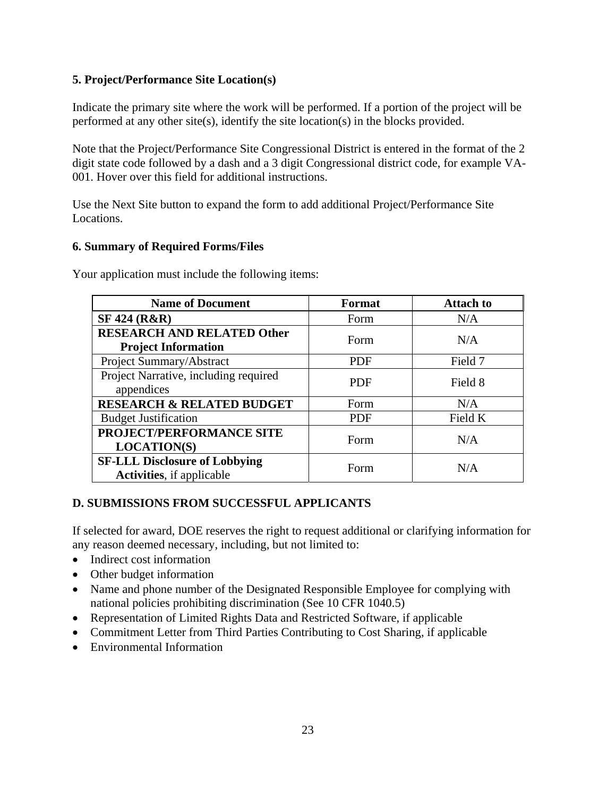## **5. Project/Performance Site Location(s)**

Indicate the primary site where the work will be performed. If a portion of the project will be performed at any other site(s), identify the site location(s) in the blocks provided.

Note that the Project/Performance Site Congressional District is entered in the format of the 2 digit state code followed by a dash and a 3 digit Congressional district code, for example VA-001. Hover over this field for additional instructions.

Use the Next Site button to expand the form to add additional Project/Performance Site Locations.

#### **6. Summary of Required Forms/Files**

Your application must include the following items:

| <b>Name of Document</b>                                                   | <b>Format</b> | <b>Attach to</b> |
|---------------------------------------------------------------------------|---------------|------------------|
| <b>SF 424 (R&amp;R)</b>                                                   | Form          | N/A              |
| <b>RESEARCH AND RELATED Other</b><br><b>Project Information</b>           | Form          | N/A              |
| Project Summary/Abstract                                                  | <b>PDF</b>    | Field 7          |
| Project Narrative, including required<br>appendices                       | <b>PDF</b>    | Field 8          |
| <b>RESEARCH &amp; RELATED BUDGET</b>                                      | Form          | N/A              |
| <b>Budget Justification</b>                                               | <b>PDF</b>    | Field K          |
| PROJECT/PERFORMANCE SITE<br><b>LOCATION(S)</b>                            | Form          | N/A              |
| <b>SF-LLL Disclosure of Lobbying</b><br><b>Activities</b> , if applicable | Form          | N/A              |

## **D. SUBMISSIONS FROM SUCCESSFUL APPLICANTS**

If selected for award, DOE reserves the right to request additional or clarifying information for any reason deemed necessary, including, but not limited to:

- Indirect cost information
- Other budget information
- Name and phone number of the Designated Responsible Employee for complying with national policies prohibiting discrimination (See 10 CFR 1040.5)
- Representation of Limited Rights Data and Restricted Software, if applicable
- Commitment Letter from Third Parties Contributing to Cost Sharing, if applicable
- Environmental Information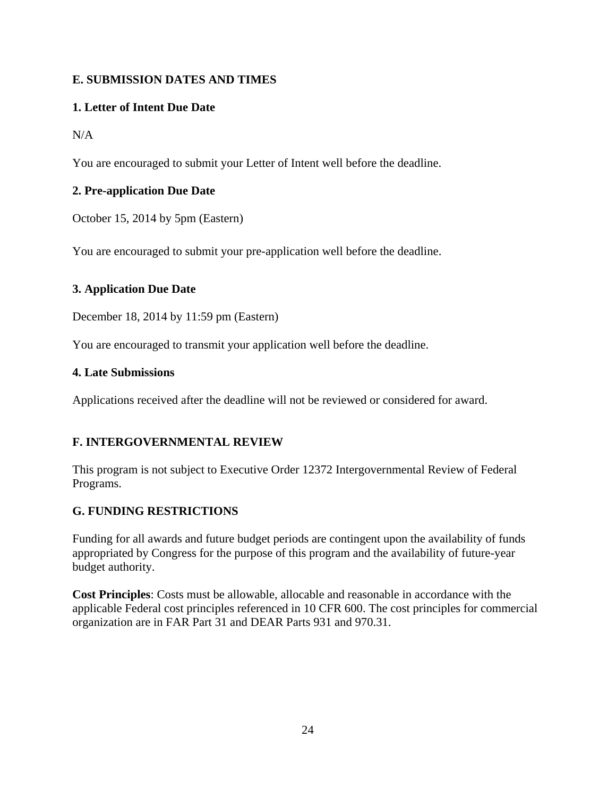## <span id="page-30-0"></span>**E. SUBMISSION DATES AND TIMES**

## **1. Letter of Intent Due Date**

 $N/A$ 

You are encouraged to submit your Letter of Intent well before the deadline.

## **2. Pre-application Due Date**

October 15, 2014 by 5pm (Eastern)

You are encouraged to submit your pre-application well before the deadline.

#### **3. Application Due Date**

December 18, 2014 by 11:59 pm (Eastern)

You are encouraged to transmit your application well before the deadline.

#### **4. Late Submissions**

Applications received after the deadline will not be reviewed or considered for award.

## **F. INTERGOVERNMENTAL REVIEW**

This program is not subject to Executive Order 12372 Intergovernmental Review of Federal Programs.

## **G. FUNDING RESTRICTIONS**

Funding for all awards and future budget periods are contingent upon the availability of funds appropriated by Congress for the purpose of this program and the availability of future-year budget authority.

**Cost Principles**: Costs must be allowable, allocable and reasonable in accordance with the applicable Federal cost principles referenced in 10 CFR 600. The cost principles for commercial organization are in FAR Part 31 and DEAR Parts 931 and 970.31.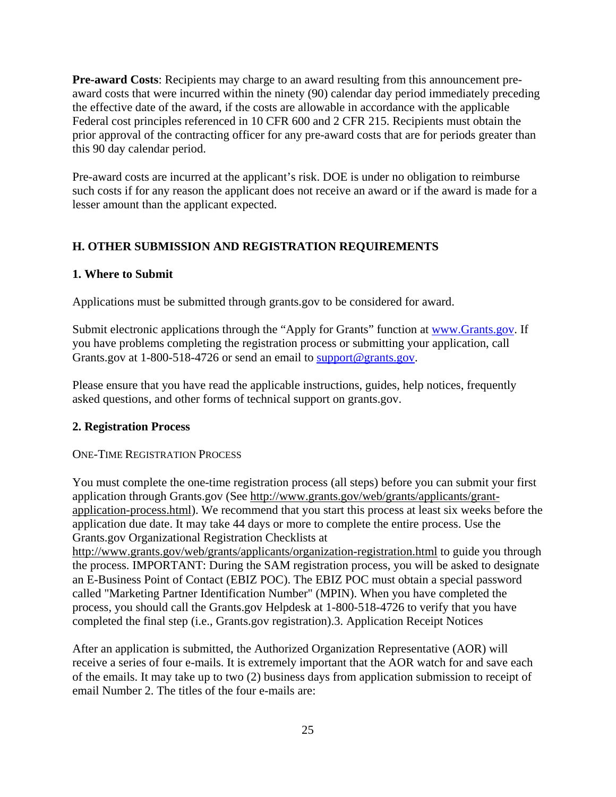<span id="page-31-0"></span>**Pre-award Costs**: Recipients may charge to an award resulting from this announcement preaward costs that were incurred within the ninety (90) calendar day period immediately preceding the effective date of the award, if the costs are allowable in accordance with the applicable Federal cost principles referenced in 10 CFR 600 and 2 CFR 215. Recipients must obtain the prior approval of the contracting officer for any pre-award costs that are for periods greater than this 90 day calendar period.

Pre-award costs are incurred at the applicant's risk. DOE is under no obligation to reimburse such costs if for any reason the applicant does not receive an award or if the award is made for a lesser amount than the applicant expected.

#### **H. OTHER SUBMISSION AND REGISTRATION REQUIREMENTS**

#### **1. Where to Submit**

Applications must be submitted through [grants.gov](https://grants.gov) to be considered for award.

Submit electronic applications through the "Apply for Grants" function at<www.Grants.gov>. If you have problems completing the registration process or submitting your application, call [Grants.gov](https://Grants.gov) at 1-800-518-4726 or send an email to [support@grants.gov](mailto:support@grants.gov).

Please ensure that you have read the applicable instructions, guides, help notices, frequently asked questions, and other forms of technical support on [grants.gov](https://grants.gov).

#### **2. Registration Process**

#### ONE-TIME REGISTRATION PROCESS

You must complete the one-time registration process (all steps) before you can submit your first application through [Grants.gov](https://Grants.gov) (See <http://www.grants.gov/web/grants/applicants/grant>application-process.html). We recommend that you start this process at least six weeks before the application due date. It may take 44 days or more to complete the entire process. Use the [Grants.gov](https://Grants.gov) Organizational Registration Checklists at

<http://www.grants.gov/web/grants/applicants/organization-registration.html>to guide you through the process. IMPORTANT: During the SAM registration process, you will be asked to designate an E-Business Point of Contact (EBIZ POC). The EBIZ POC must obtain a special password called "Marketing Partner Identification Number" (MPIN). When you have completed the process, you should call the [Grants.gov](https://Grants.gov) Helpdesk at 1-800-518-4726 to verify that you have completed the final step (i.e., [Grants.gov](https://Grants.gov) registration).3. Application Receipt Notices

After an application is submitted, the Authorized Organization Representative (AOR) will receive a series of four e-mails. It is extremely important that the AOR watch for and save each of the emails. It may take up to two (2) business days from application submission to receipt of email Number 2. The titles of the four e-mails are: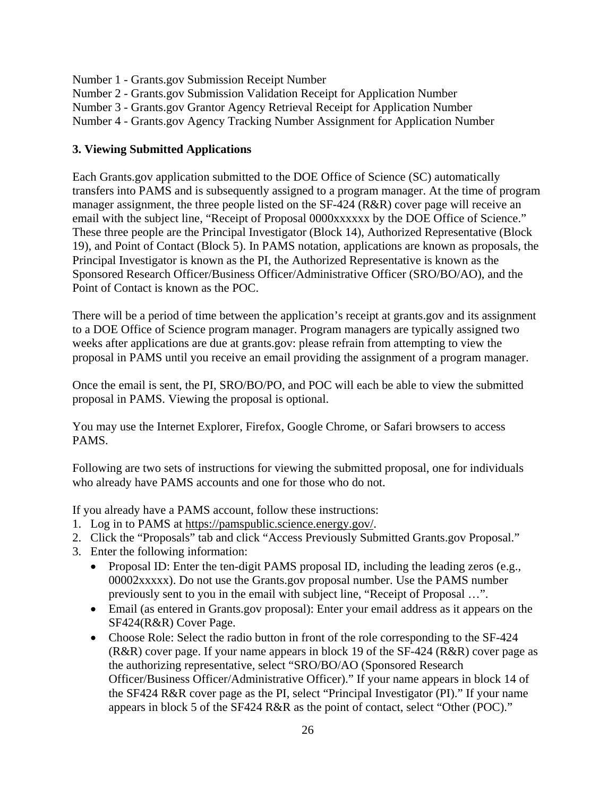Number 1 - [Grants.gov](https://Grants.gov) Submission Receipt Number

Number 2 - [Grants.gov](https://Grants.gov) Submission Validation Receipt for Application Number

Number 3 - [Grants.gov](https://Grants.gov) Grantor Agency Retrieval Receipt for Application Number

Number 4 - [Grants.gov](https://Grants.gov) Agency Tracking Number Assignment for Application Number

#### **3. Viewing Submitted Applications**

Each [Grants.gov](https://Grants.gov) application submitted to the DOE Office of Science (SC) automatically transfers into PAMS and is subsequently assigned to a program manager. At the time of program manager assignment, the three people listed on the SF-424 (R&R) cover page will receive an email with the subject line, "Receipt of Proposal 0000xxxxxx by the DOE Office of Science." These three people are the Principal Investigator (Block 14), Authorized Representative (Block 19), and Point of Contact (Block 5). In PAMS notation, applications are known as proposals, the Principal Investigator is known as the PI, the Authorized Representative is known as the Sponsored Research Officer/Business Officer/Administrative Officer (SRO/BO/AO), and the Point of Contact is known as the POC.

There will be a period of time between the application's receipt at [grants.gov](https://grants.gov) and its assignment to a DOE Office of Science program manager. Program managers are typically assigned two weeks after applications are due at [grants.gov:](https://grants.gov) please refrain from attempting to view the proposal in PAMS until you receive an email providing the assignment of a program manager.

Once the email is sent, the PI, SRO/BO/PO, and POC will each be able to view the submitted proposal in PAMS. Viewing the proposal is optional.

You may use the Internet Explorer, Firefox, Google Chrome, or Safari browsers to access PAMS.

Following are two sets of instructions for viewing the submitted proposal, one for individuals who already have PAMS accounts and one for those who do not.

If you already have a PAMS account, follow these instructions:

- 1. Log in to PAMS at<https://pamspublic.science.energy.gov>/.
- 2. Click the "Proposals" tab and click "Access Previously Submitted [Grants.gov](https://Grants.gov) Proposal."
- 3. Enter the following information:
	- Proposal ID: Enter the ten-digit PAMS proposal ID, including the leading zeros (e.g., 00002xxxxx). Do not use the [Grants.gov](https://Grants.gov) proposal number. Use the PAMS number previously sent to you in the email with subject line, "Receipt of Proposal …".
	- Email (as entered in [Grants.gov](https://Grants.gov) proposal): Enter your email address as it appears on the SF424(R&R) Cover Page.
	- Choose Role: Select the radio button in front of the role corresponding to the SF-424 (R&R) cover page. If your name appears in block 19 of the SF-424 (R&R) cover page as the authorizing representative, select "SRO/BO/AO (Sponsored Research Officer/Business Officer/Administrative Officer)." If your name appears in block 14 of the SF424 R&R cover page as the PI, select "Principal Investigator (PI)." If your name appears in block 5 of the SF424 R&R as the point of contact, select "Other (POC)."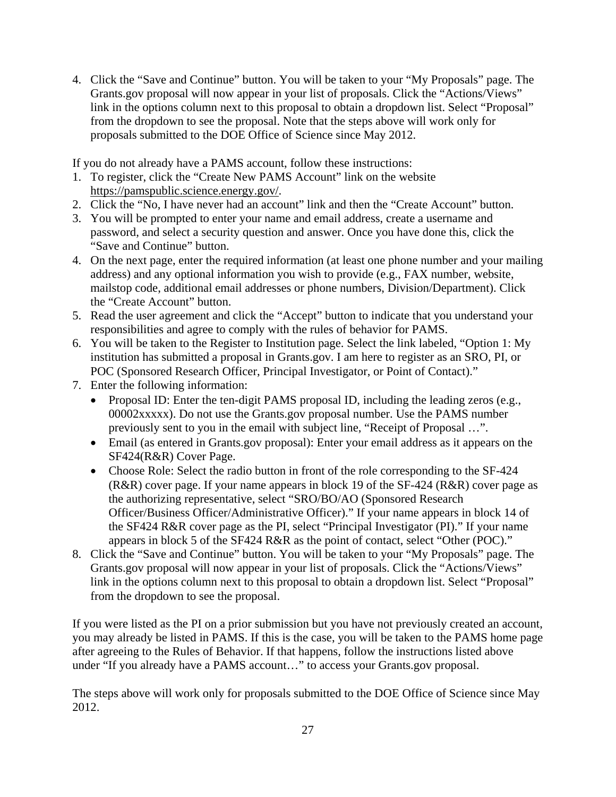4. Click the "Save and Continue" button. You will be taken to your "My Proposals" page. The [Grants.gov](https://Grants.gov) proposal will now appear in your list of proposals. Click the "Actions/Views" link in the options column next to this proposal to obtain a dropdown list. Select "Proposal" from the dropdown to see the proposal. Note that the steps above will work only for proposals submitted to the DOE Office of Science since May 2012.

If you do not already have a PAMS account, follow these instructions:

- 1. To register, click the "Create New PAMS Account" link on the website [https://pamspublic.science.energy.gov/](https://pamspublic.science.energy.gov).
- 2. Click the "No, I have never had an account" link and then the "Create Account" button.
- 3. You will be prompted to enter your name and email address, create a username and password, and select a security question and answer. Once you have done this, click the "Save and Continue" button.
- 4. On the next page, enter the required information (at least one phone number and your mailing address) and any optional information you wish to provide (e.g., FAX number, website, mailstop code, additional email addresses or phone numbers, Division/Department). Click the "Create Account" button.
- 5. Read the user agreement and click the "Accept" button to indicate that you understand your responsibilities and agree to comply with the rules of behavior for PAMS.
- 6. You will be taken to the Register to Institution page. Select the link labeled, "Option 1: My institution has submitted a proposal in [Grants.gov.](https://Grants.gov) I am here to register as an SRO, PI, or POC (Sponsored Research Officer, Principal Investigator, or Point of Contact)."
- 7. Enter the following information:
	- Proposal ID: Enter the ten-digit PAMS proposal ID, including the leading zeros (e.g., 00002xxxxx). Do not use the [Grants.gov](https://Grants.gov) proposal number. Use the PAMS number previously sent to you in the email with subject line, "Receipt of Proposal …".
	- Email (as entered in [Grants.gov](https://Grants.gov) proposal): Enter your email address as it appears on the SF424(R&R) Cover Page.
	- Choose Role: Select the radio button in front of the role corresponding to the SF-424 (R&R) cover page. If your name appears in block 19 of the SF-424 (R&R) cover page as the authorizing representative, select "SRO/BO/AO (Sponsored Research Officer/Business Officer/Administrative Officer)." If your name appears in block 14 of the SF424 R&R cover page as the PI, select "Principal Investigator (PI)." If your name appears in block 5 of the SF424 R&R as the point of contact, select "Other (POC)."
- 8. Click the "Save and Continue" button. You will be taken to your "My Proposals" page. The [Grants.gov](https://Grants.gov) proposal will now appear in your list of proposals. Click the "Actions/Views" link in the options column next to this proposal to obtain a dropdown list. Select "Proposal" from the dropdown to see the proposal.

If you were listed as the PI on a prior submission but you have not previously created an account, you may already be listed in PAMS. If this is the case, you will be taken to the PAMS home page after agreeing to the Rules of Behavior. If that happens, follow the instructions listed above under "If you already have a PAMS account…" to access your [Grants.gov](https://Grants.gov) proposal.

The steps above will work only for proposals submitted to the DOE Office of Science since May 2012.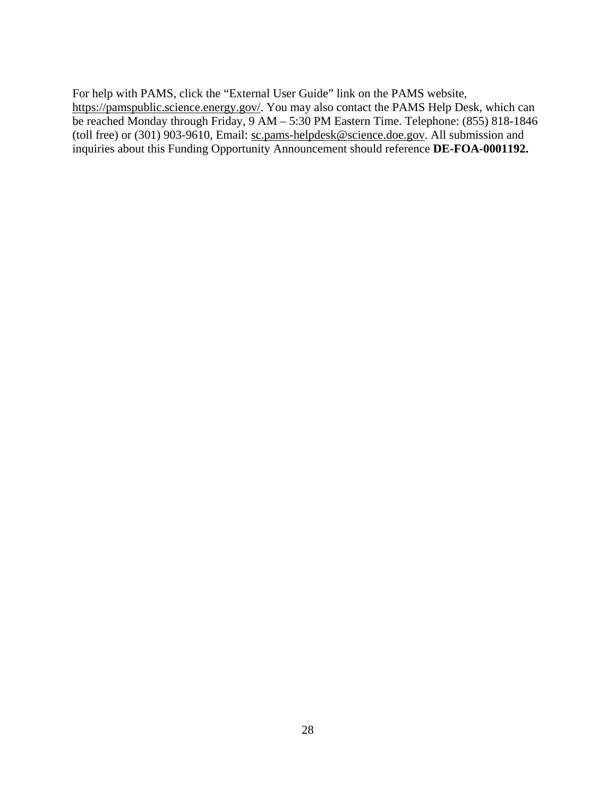For help with PAMS, click the "External User Guide" link on the PAMS website, [https://pamspublic.science.energy.gov/](https://pamspublic.science.energy.gov). You may also contact the PAMS Help Desk, which can be reached Monday through Friday, 9 AM – 5:30 PM Eastern Time. Telephone: (855) 818-1846 (toll free) or (301) 903-9610, Email: [sc.pams-helpdesk@science.doe.gov](mailto:sc.pams-helpdesk@science.doe.gov). All submission and inquiries about this Funding Opportunity Announcement should reference **DE-FOA-0001192.**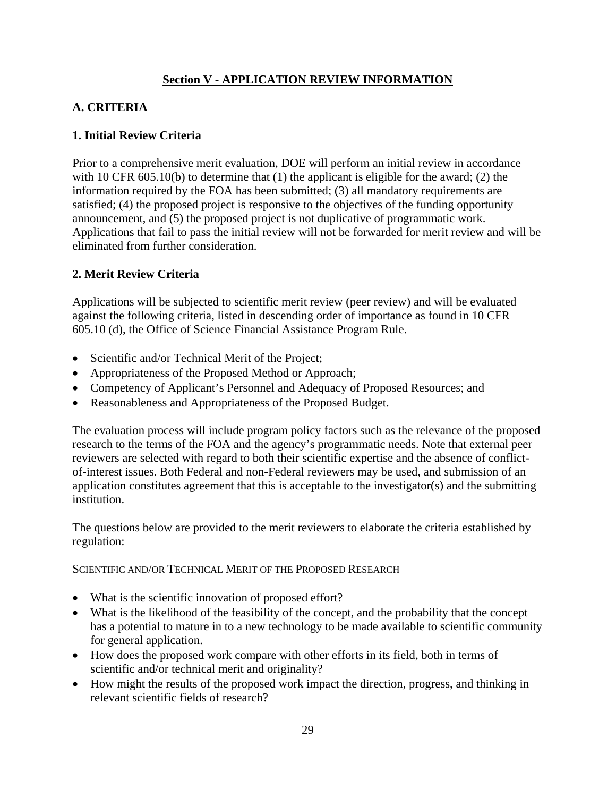## **Section V - APPLICATION REVIEW INFORMATION**

## <span id="page-35-0"></span>**A. CRITERIA**

#### **1. Initial Review Criteria**

Prior to a comprehensive merit evaluation, DOE will perform an initial review in accordance with 10 CFR 605.10(b) to determine that (1) the applicant is eligible for the award; (2) the information required by the FOA has been submitted; (3) all mandatory requirements are satisfied; (4) the proposed project is responsive to the objectives of the funding opportunity announcement, and (5) the proposed project is not duplicative of programmatic work. Applications that fail to pass the initial review will not be forwarded for merit review and will be eliminated from further consideration.

## **2. Merit Review Criteria**

Applications will be subjected to scientific merit review (peer review) and will be evaluated against the following criteria, listed in descending order of importance as found in 10 CFR 605.10 (d), the Office of Science Financial Assistance Program Rule.

- Scientific and/or Technical Merit of the Project;
- Appropriateness of the Proposed Method or Approach;
- Competency of Applicant's Personnel and Adequacy of Proposed Resources; and
- Reasonableness and Appropriateness of the Proposed Budget.

The evaluation process will include program policy factors such as the relevance of the proposed research to the terms of the FOA and the agency's programmatic needs. Note that external peer reviewers are selected with regard to both their scientific expertise and the absence of conflictof-interest issues. Both Federal and non-Federal reviewers may be used, and submission of an application constitutes agreement that this is acceptable to the investigator(s) and the submitting institution.

The questions below are provided to the merit reviewers to elaborate the criteria established by regulation:

#### SCIENTIFIC AND/OR TECHNICAL MERIT OF THE PROPOSED RESEARCH

- What is the scientific innovation of proposed effort?
- What is the likelihood of the feasibility of the concept, and the probability that the concept has a potential to mature in to a new technology to be made available to scientific community for general application.
- How does the proposed work compare with other efforts in its field, both in terms of scientific and/or technical merit and originality?
- How might the results of the proposed work impact the direction, progress, and thinking in relevant scientific fields of research?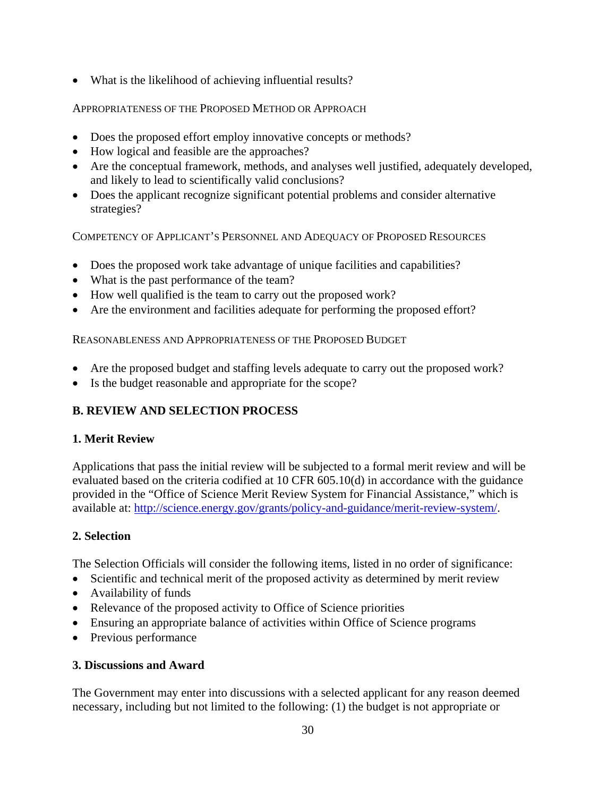<span id="page-36-0"></span>What is the likelihood of achieving influential results?

## APPROPRIATENESS OF THE PROPOSED METHOD OR APPROACH

- Does the proposed effort employ innovative concepts or methods?
- How logical and feasible are the approaches?
- Are the conceptual framework, methods, and analyses well justified, adequately developed, and likely to lead to scientifically valid conclusions?
- Does the applicant recognize significant potential problems and consider alternative strategies?

COMPETENCY OF APPLICANT'S PERSONNEL AND ADEQUACY OF PROPOSED RESOURCES

- Does the proposed work take advantage of unique facilities and capabilities?
- What is the past performance of the team?
- How well qualified is the team to carry out the proposed work?
- Are the environment and facilities adequate for performing the proposed effort? REASONABLENESS AND APPROPRIATENESS OF THE PROPOSED BUDGET

- Are the proposed budget and staffing levels adequate to carry out the proposed work?
- Is the budget reasonable and appropriate for the scope?

## **B. REVIEW AND SELECTION PROCESS**

## **1. Merit Review**

Applications that pass the initial review will be subjected to a formal merit review and will be evaluated based on the criteria codified at 10 CFR 605.10(d) in accordance with the guidance provided in the "Office of Science Merit Review System for Financial Assistance," which is available at:<http://science.energy.gov/grants/policy-and-guidance/merit-review-system>/.

## **2. Selection**

The Selection Officials will consider the following items, listed in no order of significance:

- Scientific and technical merit of the proposed activity as determined by merit review
- Availability of funds
- Relevance of the proposed activity to Office of Science priorities
- Ensuring an appropriate balance of activities within Office of Science programs
- Previous performance

## **3. Discussions and Award**

The Government may enter into discussions with a selected applicant for any reason deemed necessary, including but not limited to the following: (1) the budget is not appropriate or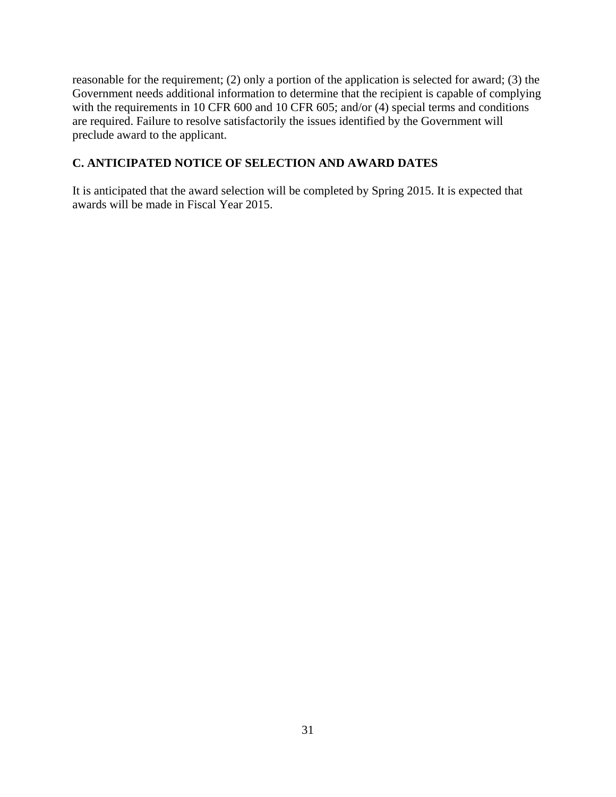<span id="page-37-0"></span>reasonable for the requirement; (2) only a portion of the application is selected for award; (3) the Government needs additional information to determine that the recipient is capable of complying with the requirements in 10 CFR 600 and 10 CFR 605; and/or (4) special terms and conditions are required. Failure to resolve satisfactorily the issues identified by the Government will preclude award to the applicant.

## **C. ANTICIPATED NOTICE OF SELECTION AND AWARD DATES**

It is anticipated that the award selection will be completed by Spring 2015. It is expected that awards will be made in Fiscal Year 2015.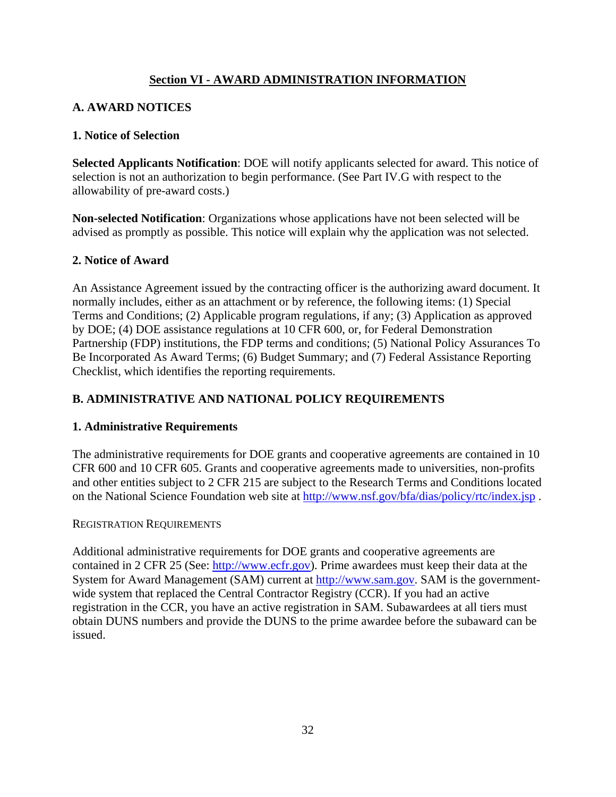## **Section VI - AWARD ADMINISTRATION INFORMATION**

## <span id="page-38-0"></span>**A. AWARD NOTICES**

#### **1. Notice of Selection**

**Selected Applicants Notification**: DOE will notify applicants selected for award. This notice of selection is not an authorization to begin performance. (See Part IV.G with respect to the allowability of pre-award costs.)

**Non-selected Notification**: Organizations whose applications have not been selected will be advised as promptly as possible. This notice will explain why the application was not selected.

#### **2. Notice of Award**

An Assistance Agreement issued by the contracting officer is the authorizing award document. It normally includes, either as an attachment or by reference, the following items: (1) Special Terms and Conditions; (2) Applicable program regulations, if any; (3) Application as approved by DOE; (4) DOE assistance regulations at 10 CFR 600, or, for Federal Demonstration Partnership (FDP) institutions, the FDP terms and conditions; (5) National Policy Assurances To Be Incorporated As Award Terms; (6) Budget Summary; and (7) Federal Assistance Reporting Checklist, which identifies the reporting requirements.

## **B. ADMINISTRATIVE AND NATIONAL POLICY REQUIREMENTS**

#### **1. Administrative Requirements**

The administrative requirements for DOE grants and cooperative agreements are contained in 10 CFR 600 and 10 CFR 605. Grants and cooperative agreements made to universities, non-profits and other entities subject to 2 CFR 215 are subject to the Research Terms and Conditions located on the National Science Foundation web site at<http://www.nsf.gov/bfa/dias/policy/rtc/index.jsp> .

#### REGISTRATION REQUIREMENTS

Additional administrative requirements for DOE grants and cooperative agreements are contained in 2 CFR 25 (See: [http://www.ecfr.gov\)](http://www.ecfr.gov). Prime awardees must keep their data at the System for Award Management (SAM) current at<http://www.sam.gov>. SAM is the governmentwide system that replaced the Central Contractor Registry (CCR). If you had an active registration in the CCR, you have an active registration in SAM. Subawardees at all tiers must obtain DUNS numbers and provide the DUNS to the prime awardee before the subaward can be issued.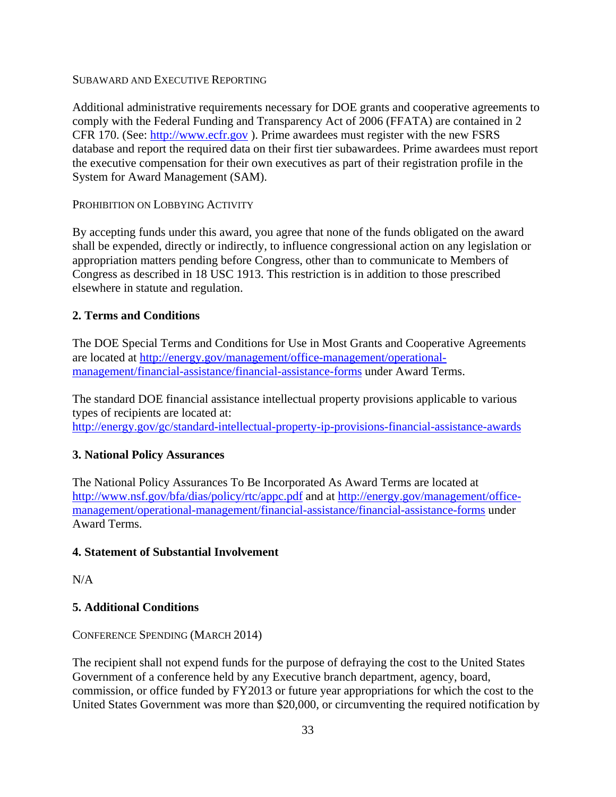#### SUBAWARD AND EXECUTIVE REPORTING

Additional administrative requirements necessary for DOE grants and cooperative agreements to comply with the Federal Funding and Transparency Act of 2006 (FFATA) are contained in 2 CFR 170. (See:<http://www.ecfr.gov>). Prime awardees must register with the new FSRS database and report the required data on their first tier subawardees. Prime awardees must report the executive compensation for their own executives as part of their registration profile in the System for Award Management (SAM).

#### PROHIBITION ON LOBBYING ACTIVITY

By accepting funds under this award, you agree that none of the funds obligated on the award shall be expended, directly or indirectly, to influence congressional action on any legislation or appropriation matters pending before Congress, other than to communicate to Members of Congress as described in 18 USC 1913. This restriction is in addition to those prescribed elsewhere in statute and regulation.

#### **2. Terms and Conditions**

The DOE Special Terms and Conditions for Use in Most Grants and Cooperative Agreements are located at <http://energy.gov/management/office-management/operational>management/financial-assistance/financial-assistance-forms under Award Terms.

 <http://energy.gov/gc/standard-intellectual-property-ip-provisions-financial-assistance-awards> The standard DOE financial assistance intellectual property provisions applicable to various types of recipients are located at:

#### **3. National Policy Assurances**

The National Policy Assurances To Be Incorporated As Award Terms are located at <http://www.nsf.gov/bfa/dias/policy/rtc/appc.pdf>and at <http://energy.gov/management/office>management/operational-management/financial-assistance/financial-assistance-forms under Award Terms.

#### **4. Statement of Substantial Involvement**

N/A

## **5. Additional Conditions**

#### CONFERENCE SPENDING (MARCH 2014)

The recipient shall not expend funds for the purpose of defraying the cost to the United States Government of a conference held by any Executive branch department, agency, board, commission, or office funded by FY2013 or future year appropriations for which the cost to the United States Government was more than \$20,000, or circumventing the required notification by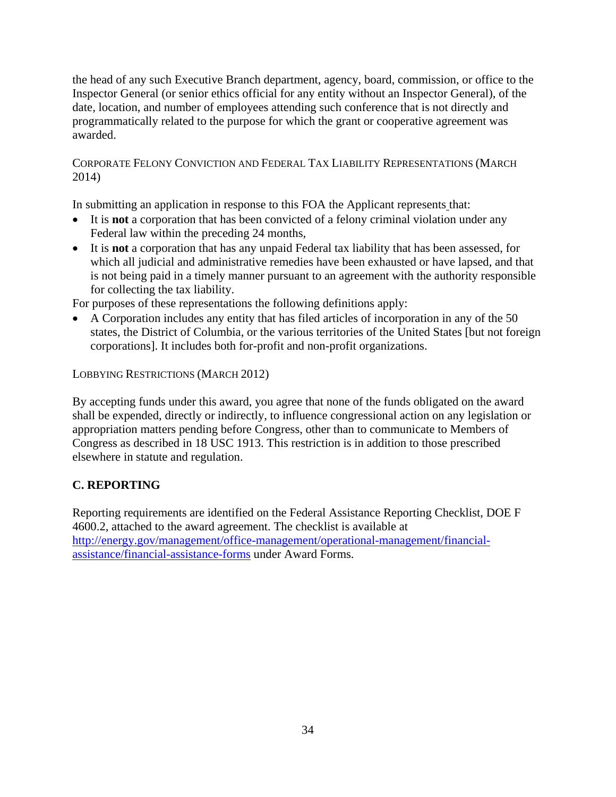<span id="page-40-0"></span>the head of any such Executive Branch department, agency, board, commission, or office to the Inspector General (or senior ethics official for any entity without an Inspector General), of the date, location, and number of employees attending such conference that is not directly and programmatically related to the purpose for which the grant or cooperative agreement was awarded.

CORPORATE FELONY CONVICTION AND FEDERAL TAX LIABILITY REPRESENTATIONS (MARCH 2014)

In submitting an application in response to this FOA the Applicant represents that:

- It is **not** a corporation that has been convicted of a felony criminal violation under any Federal law within the preceding 24 months,
- It is **not** a corporation that has any unpaid Federal tax liability that has been assessed, for which all judicial and administrative remedies have been exhausted or have lapsed, and that is not being paid in a timely manner pursuant to an agreement with the authority responsible for collecting the tax liability.

For purposes of these representations the following definitions apply:

 A Corporation includes any entity that has filed articles of incorporation in any of the 50 states, the District of Columbia, or the various territories of the United States [but not foreign corporations]. It includes both for-profit and non-profit organizations.

LOBBYING RESTRICTIONS (MARCH 2012)

By accepting funds under this award, you agree that none of the funds obligated on the award shall be expended, directly or indirectly, to influence congressional action on any legislation or appropriation matters pending before Congress, other than to communicate to Members of Congress as described in 18 USC 1913. This restriction is in addition to those prescribed elsewhere in statute and regulation.

## **C. REPORTING**

Reporting requirements are identified on the Federal Assistance Reporting Checklist, DOE F 4600.2, attached to the award agreement. The checklist is available at <http://energy.gov/management/office-management/operational-management/financial>assistance/financial-assistance-forms under Award Forms.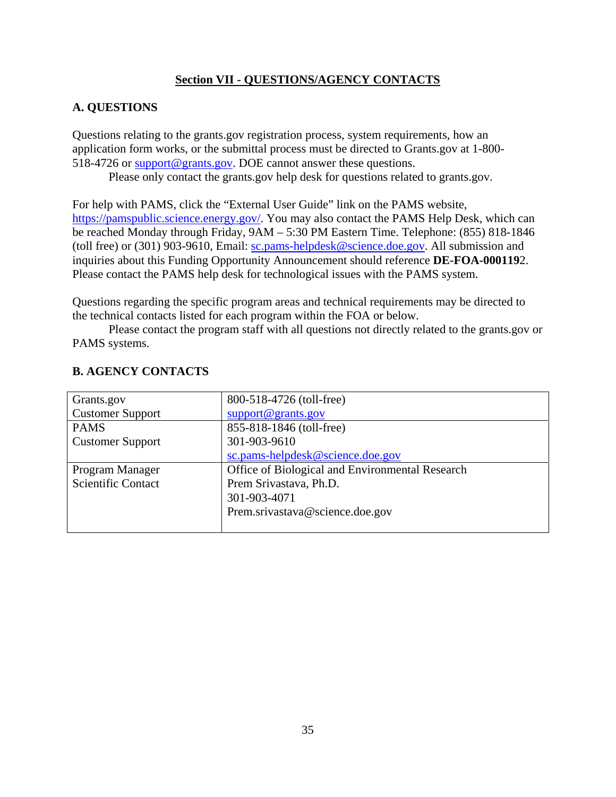## **Section VII - QUESTIONS/AGENCY CONTACTS**

## **A. QUESTIONS**

Questions relating to the [grants.gov](https://grants.gov) registration process, system requirements, how an application form works, or the submittal process must be directed to [Grants.gov](https://Grants.gov) at 1-800 518-4726 or [support@grants.gov](mailto:support@grants.gov). DOE cannot answer these questions.

Please only contact the [grants.gov](https://grants.gov) help desk for questions related to [grants.gov.](https://grants.gov)

For help with PAMS, click the "External User Guide" link on the PAMS website, [https://pamspublic.science.energy.gov/](https://pamspublic.science.energy.gov). You may also contact the PAMS Help Desk, which can be reached Monday through Friday, 9AM – 5:30 PM Eastern Time. Telephone: (855) 818-1846 (toll free) or (301) 903-9610, Email: [sc.pams-helpdesk@science.doe.gov](mailto:sc.pams-helpdesk@science.doe.gov). All submission and inquiries about this Funding Opportunity Announcement should reference **DE-FOA-000119**2. Please contact the PAMS help desk for technological issues with the PAMS system.

Questions regarding the specific program areas and technical requirements may be directed to the technical contacts listed for each program within the FOA or below.

Please contact the program staff with all questions not directly related to the [grants.gov](https://grants.gov) or PAMS systems.

| Grants.gov                | 800-518-4726 (toll-free)                        |
|---------------------------|-------------------------------------------------|
| <b>Customer Support</b>   | support@grams.gov                               |
| <b>PAMS</b>               | 855-818-1846 (toll-free)                        |
| <b>Customer Support</b>   | 301-903-9610                                    |
|                           | sc.pams-helpdesk@science.doe.gov                |
| Program Manager           | Office of Biological and Environmental Research |
| <b>Scientific Contact</b> | Prem Srivastava, Ph.D.                          |
|                           |                                                 |
|                           | 301-903-4071                                    |
|                           | Prem.srivastava@science.doe.gov                 |

## **B. AGENCY CONTACTS**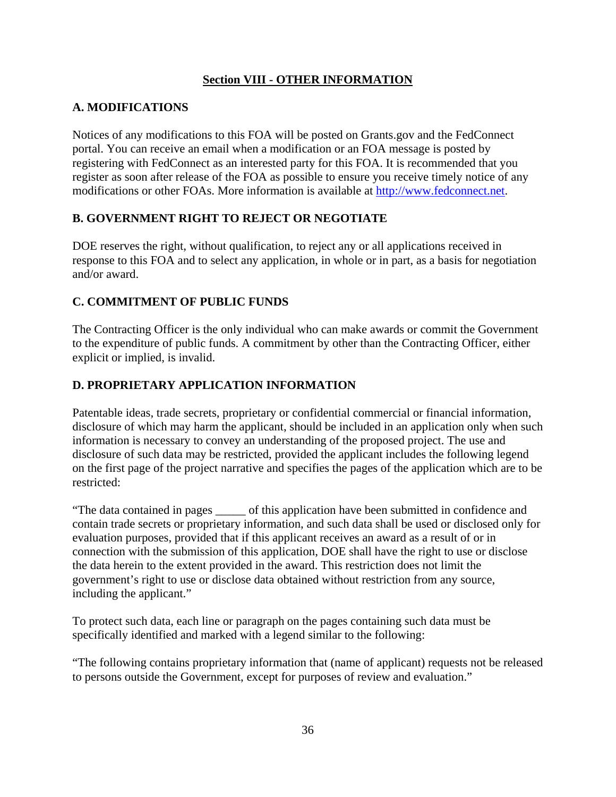## **Section VIII - OTHER INFORMATION**

## <span id="page-42-0"></span>**A. MODIFICATIONS**

Notices of any modifications to this FOA will be posted on [Grants.gov](https://Grants.gov) and the FedConnect portal. You can receive an email when a modification or an FOA message is posted by registering with FedConnect as an interested party for this FOA. It is recommended that you register as soon after release of the FOA as possible to ensure you receive timely notice of any modifications or other FOAs. More information is available at [http://www.fedconnect.net.](http://www.fedconnect.net)

## **B. GOVERNMENT RIGHT TO REJECT OR NEGOTIATE**

DOE reserves the right, without qualification, to reject any or all applications received in response to this FOA and to select any application, in whole or in part, as a basis for negotiation and/or award.

## **C. COMMITMENT OF PUBLIC FUNDS**

The Contracting Officer is the only individual who can make awards or commit the Government to the expenditure of public funds. A commitment by other than the Contracting Officer, either explicit or implied, is invalid.

## **D. PROPRIETARY APPLICATION INFORMATION**

Patentable ideas, trade secrets, proprietary or confidential commercial or financial information, disclosure of which may harm the applicant, should be included in an application only when such information is necessary to convey an understanding of the proposed project. The use and disclosure of such data may be restricted, provided the applicant includes the following legend on the first page of the project narrative and specifies the pages of the application which are to be restricted:

"The data contained in pages \_\_\_\_\_ of this application have been submitted in confidence and contain trade secrets or proprietary information, and such data shall be used or disclosed only for evaluation purposes, provided that if this applicant receives an award as a result of or in connection with the submission of this application, DOE shall have the right to use or disclose the data herein to the extent provided in the award. This restriction does not limit the government's right to use or disclose data obtained without restriction from any source, including the applicant."

To protect such data, each line or paragraph on the pages containing such data must be specifically identified and marked with a legend similar to the following:

"The following contains proprietary information that (name of applicant) requests not be released to persons outside the Government, except for purposes of review and evaluation."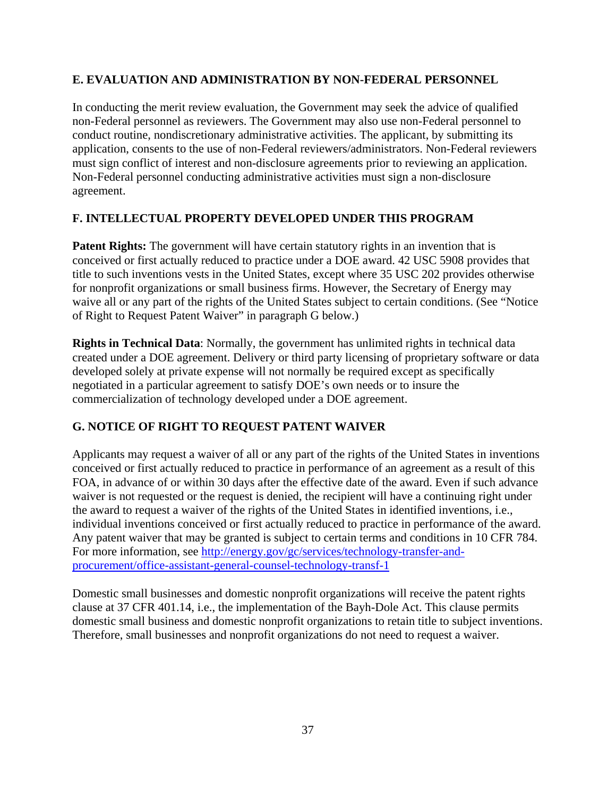## <span id="page-43-0"></span>**E. EVALUATION AND ADMINISTRATION BY NON-FEDERAL PERSONNEL**

In conducting the merit review evaluation, the Government may seek the advice of qualified non-Federal personnel as reviewers. The Government may also use non-Federal personnel to conduct routine, nondiscretionary administrative activities. The applicant, by submitting its application, consents to the use of non-Federal reviewers/administrators. Non-Federal reviewers must sign conflict of interest and non-disclosure agreements prior to reviewing an application. Non-Federal personnel conducting administrative activities must sign a non-disclosure agreement.

## **F. INTELLECTUAL PROPERTY DEVELOPED UNDER THIS PROGRAM**

**Patent Rights:** The government will have certain statutory rights in an invention that is conceived or first actually reduced to practice under a DOE award. 42 USC 5908 provides that title to such inventions vests in the United States, except where 35 USC 202 provides otherwise for nonprofit organizations or small business firms. However, the Secretary of Energy may waive all or any part of the rights of the United States subject to certain conditions. (See "Notice of Right to Request Patent Waiver" in paragraph G below.)

**Rights in Technical Data:** Normally, the government has unlimited rights in technical data created under a DOE agreement. Delivery or third party licensing of proprietary software or data developed solely at private expense will not normally be required except as specifically negotiated in a particular agreement to satisfy DOE's own needs or to insure the commercialization of technology developed under a DOE agreement.

## **G. NOTICE OF RIGHT TO REQUEST PATENT WAIVER**

Applicants may request a waiver of all or any part of the rights of the United States in inventions conceived or first actually reduced to practice in performance of an agreement as a result of this FOA, in advance of or within 30 days after the effective date of the award. Even if such advance waiver is not requested or the request is denied, the recipient will have a continuing right under the award to request a waiver of the rights of the United States in identified inventions, i.e., individual inventions conceived or first actually reduced to practice in performance of the award. Any patent waiver that may be granted is subject to certain terms and conditions in 10 CFR 784. For more information, see<http://energy.gov/gc/services/technology-transfer-and>procurement/office-assistant-general-counsel-technology-transf-1

Domestic small businesses and domestic nonprofit organizations will receive the patent rights clause at 37 CFR 401.14, i.e., the implementation of the Bayh-Dole Act. This clause permits domestic small business and domestic nonprofit organizations to retain title to subject inventions. Therefore, small businesses and nonprofit organizations do not need to request a waiver.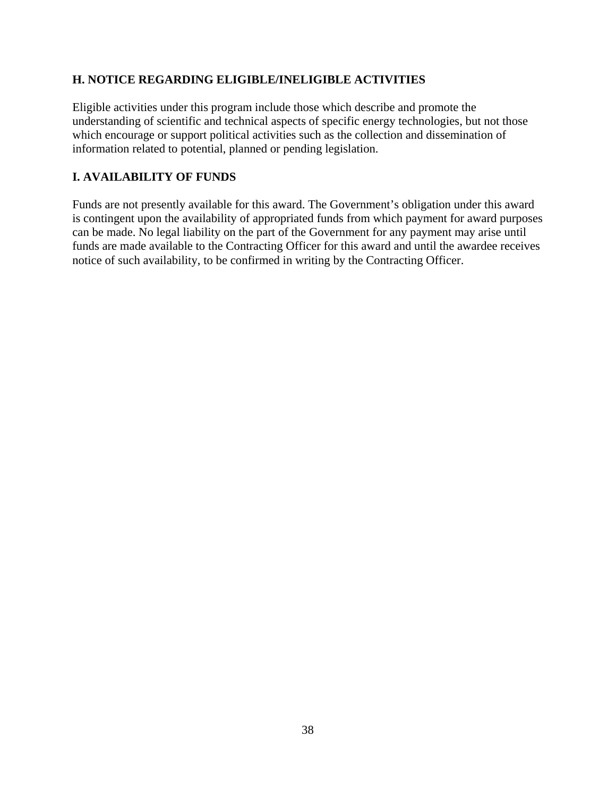## <span id="page-44-0"></span>**H. NOTICE REGARDING ELIGIBLE/INELIGIBLE ACTIVITIES**

Eligible activities under this program include those which describe and promote the understanding of scientific and technical aspects of specific energy technologies, but not those which encourage or support political activities such as the collection and dissemination of information related to potential, planned or pending legislation.

## **I. AVAILABILITY OF FUNDS**

Funds are not presently available for this award. The Government's obligation under this award is contingent upon the availability of appropriated funds from which payment for award purposes can be made. No legal liability on the part of the Government for any payment may arise until funds are made available to the Contracting Officer for this award and until the awardee receives notice of such availability, to be confirmed in writing by the Contracting Officer.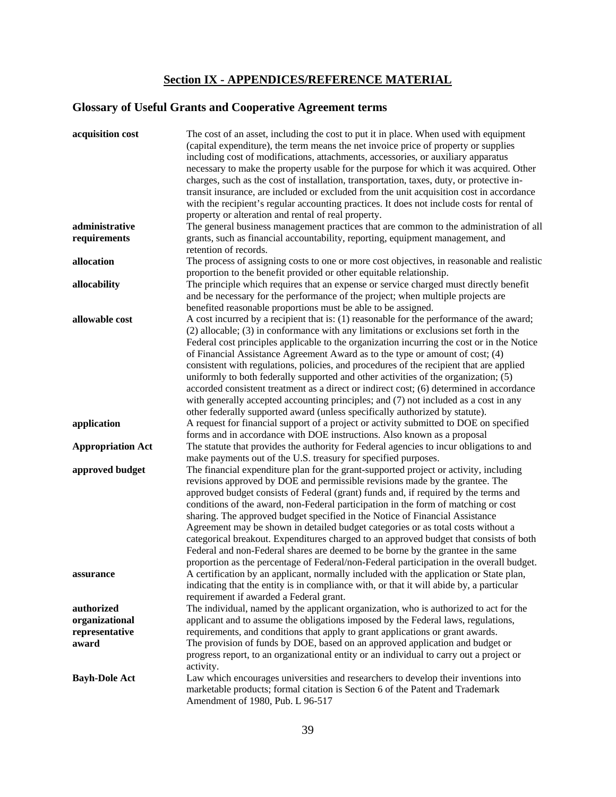## **Section IX - APPENDICES/REFERENCE MATERIAL**

# <span id="page-45-0"></span>**Glossary of Useful Grants and Cooperative Agreement terms**

| acquisition cost         | The cost of an asset, including the cost to put it in place. When used with equipment<br>(capital expenditure), the term means the net invoice price of property or supplies<br>including cost of modifications, attachments, accessories, or auxiliary apparatus<br>necessary to make the property usable for the purpose for which it was acquired. Other<br>charges, such as the cost of installation, transportation, taxes, duty, or protective in-<br>transit insurance, are included or excluded from the unit acquisition cost in accordance<br>with the recipient's regular accounting practices. It does not include costs for rental of<br>property or alteration and rental of real property.                                                                                        |
|--------------------------|--------------------------------------------------------------------------------------------------------------------------------------------------------------------------------------------------------------------------------------------------------------------------------------------------------------------------------------------------------------------------------------------------------------------------------------------------------------------------------------------------------------------------------------------------------------------------------------------------------------------------------------------------------------------------------------------------------------------------------------------------------------------------------------------------|
| administrative           | The general business management practices that are common to the administration of all                                                                                                                                                                                                                                                                                                                                                                                                                                                                                                                                                                                                                                                                                                           |
| requirements             | grants, such as financial accountability, reporting, equipment management, and                                                                                                                                                                                                                                                                                                                                                                                                                                                                                                                                                                                                                                                                                                                   |
|                          | retention of records.                                                                                                                                                                                                                                                                                                                                                                                                                                                                                                                                                                                                                                                                                                                                                                            |
| allocation               | The process of assigning costs to one or more cost objectives, in reasonable and realistic                                                                                                                                                                                                                                                                                                                                                                                                                                                                                                                                                                                                                                                                                                       |
| allocability             | proportion to the benefit provided or other equitable relationship.<br>The principle which requires that an expense or service charged must directly benefit<br>and be necessary for the performance of the project; when multiple projects are                                                                                                                                                                                                                                                                                                                                                                                                                                                                                                                                                  |
|                          | benefited reasonable proportions must be able to be assigned.                                                                                                                                                                                                                                                                                                                                                                                                                                                                                                                                                                                                                                                                                                                                    |
| allowable cost           | A cost incurred by a recipient that is: (1) reasonable for the performance of the award;<br>(2) allocable; (3) in conformance with any limitations or exclusions set forth in the<br>Federal cost principles applicable to the organization incurring the cost or in the Notice                                                                                                                                                                                                                                                                                                                                                                                                                                                                                                                  |
|                          | of Financial Assistance Agreement Award as to the type or amount of cost; (4)<br>consistent with regulations, policies, and procedures of the recipient that are applied<br>uniformly to both federally supported and other activities of the organization; (5)<br>accorded consistent treatment as a direct or indirect cost; (6) determined in accordance                                                                                                                                                                                                                                                                                                                                                                                                                                      |
|                          | with generally accepted accounting principles; and (7) not included as a cost in any                                                                                                                                                                                                                                                                                                                                                                                                                                                                                                                                                                                                                                                                                                             |
|                          | other federally supported award (unless specifically authorized by statute).                                                                                                                                                                                                                                                                                                                                                                                                                                                                                                                                                                                                                                                                                                                     |
| application              | A request for financial support of a project or activity submitted to DOE on specified<br>forms and in accordance with DOE instructions. Also known as a proposal                                                                                                                                                                                                                                                                                                                                                                                                                                                                                                                                                                                                                                |
| <b>Appropriation Act</b> | The statute that provides the authority for Federal agencies to incur obligations to and<br>make payments out of the U.S. treasury for specified purposes.                                                                                                                                                                                                                                                                                                                                                                                                                                                                                                                                                                                                                                       |
| approved budget          | The financial expenditure plan for the grant-supported project or activity, including<br>revisions approved by DOE and permissible revisions made by the grantee. The<br>approved budget consists of Federal (grant) funds and, if required by the terms and<br>conditions of the award, non-Federal participation in the form of matching or cost<br>sharing. The approved budget specified in the Notice of Financial Assistance<br>Agreement may be shown in detailed budget categories or as total costs without a<br>categorical breakout. Expenditures charged to an approved budget that consists of both<br>Federal and non-Federal shares are deemed to be borne by the grantee in the same<br>proportion as the percentage of Federal/non-Federal participation in the overall budget. |
| assurance                | A certification by an applicant, normally included with the application or State plan,<br>indicating that the entity is in compliance with, or that it will abide by, a particular<br>requirement if awarded a Federal grant.                                                                                                                                                                                                                                                                                                                                                                                                                                                                                                                                                                    |
| authorized               | The individual, named by the applicant organization, who is authorized to act for the                                                                                                                                                                                                                                                                                                                                                                                                                                                                                                                                                                                                                                                                                                            |
| organizational           | applicant and to assume the obligations imposed by the Federal laws, regulations,                                                                                                                                                                                                                                                                                                                                                                                                                                                                                                                                                                                                                                                                                                                |
| representative           | requirements, and conditions that apply to grant applications or grant awards.                                                                                                                                                                                                                                                                                                                                                                                                                                                                                                                                                                                                                                                                                                                   |
| award                    | The provision of funds by DOE, based on an approved application and budget or<br>progress report, to an organizational entity or an individual to carry out a project or                                                                                                                                                                                                                                                                                                                                                                                                                                                                                                                                                                                                                         |
| <b>Bayh-Dole Act</b>     | activity.<br>Law which encourages universities and researchers to develop their inventions into<br>marketable products; formal citation is Section 6 of the Patent and Trademark<br>Amendment of 1980, Pub. L 96-517                                                                                                                                                                                                                                                                                                                                                                                                                                                                                                                                                                             |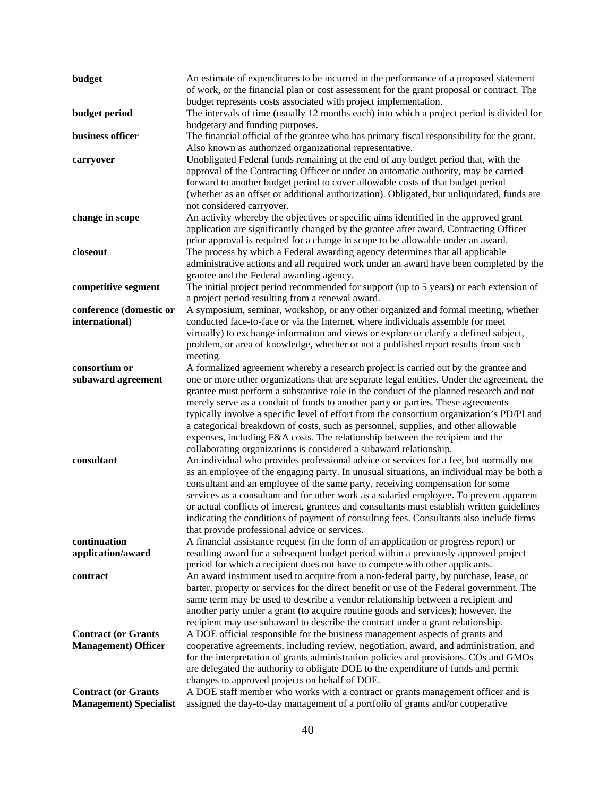| budget                            | An estimate of expenditures to be incurred in the performance of a proposed statement                                                                                          |
|-----------------------------------|--------------------------------------------------------------------------------------------------------------------------------------------------------------------------------|
|                                   | of work, or the financial plan or cost assessment for the grant proposal or contract. The<br>budget represents costs associated with project implementation.                   |
| budget period                     | The intervals of time (usually 12 months each) into which a project period is divided for                                                                                      |
|                                   | budgetary and funding purposes.                                                                                                                                                |
| business officer                  | The financial official of the grantee who has primary fiscal responsibility for the grant.                                                                                     |
|                                   | Also known as authorized organizational representative.                                                                                                                        |
| carryover                         | Unobligated Federal funds remaining at the end of any budget period that, with the                                                                                             |
|                                   | approval of the Contracting Officer or under an automatic authority, may be carried                                                                                            |
|                                   | forward to another budget period to cover allowable costs of that budget period                                                                                                |
|                                   | (whether as an offset or additional authorization). Obligated, but unliquidated, funds are                                                                                     |
| change in scope                   | not considered carryover.<br>An activity whereby the objectives or specific aims identified in the approved grant                                                              |
|                                   | application are significantly changed by the grantee after award. Contracting Officer                                                                                          |
|                                   | prior approval is required for a change in scope to be allowable under an award.                                                                                               |
| closeout                          | The process by which a Federal awarding agency determines that all applicable                                                                                                  |
|                                   | administrative actions and all required work under an award have been completed by the                                                                                         |
|                                   | grantee and the Federal awarding agency.                                                                                                                                       |
| competitive segment               | The initial project period recommended for support (up to 5 years) or each extension of                                                                                        |
|                                   | a project period resulting from a renewal award.                                                                                                                               |
| conference (domestic or           | A symposium, seminar, workshop, or any other organized and formal meeting, whether                                                                                             |
| international)                    | conducted face-to-face or via the Internet, where individuals assemble (or meet<br>virtually) to exchange information and views or explore or clarify a defined subject,       |
|                                   | problem, or area of knowledge, whether or not a published report results from such                                                                                             |
|                                   | meeting.                                                                                                                                                                       |
| consortium or                     | A formalized agreement whereby a research project is carried out by the grantee and                                                                                            |
| subaward agreement                | one or more other organizations that are separate legal entities. Under the agreement, the                                                                                     |
|                                   | grantee must perform a substantive role in the conduct of the planned research and not                                                                                         |
|                                   | merely serve as a conduit of funds to another party or parties. These agreements                                                                                               |
|                                   | typically involve a specific level of effort from the consortium organization's PD/PI and                                                                                      |
|                                   | a categorical breakdown of costs, such as personnel, supplies, and other allowable                                                                                             |
|                                   | expenses, including F&A costs. The relationship between the recipient and the<br>collaborating organizations is considered a subaward relationship.                            |
| consultant                        | An individual who provides professional advice or services for a fee, but normally not                                                                                         |
|                                   | as an employee of the engaging party. In unusual situations, an individual may be both a                                                                                       |
|                                   | consultant and an employee of the same party, receiving compensation for some                                                                                                  |
|                                   | services as a consultant and for other work as a salaried employee. To prevent apparent                                                                                        |
|                                   | or actual conflicts of interest, grantees and consultants must establish written guidelines                                                                                    |
|                                   | indicating the conditions of payment of consulting fees. Consultants also include firms                                                                                        |
|                                   | that provide professional advice or services.                                                                                                                                  |
| continuation<br>application/award | A financial assistance request (in the form of an application or progress report) or<br>resulting award for a subsequent budget period within a previously approved project    |
|                                   | period for which a recipient does not have to compete with other applicants.                                                                                                   |
| contract                          | An award instrument used to acquire from a non-federal party, by purchase, lease, or                                                                                           |
|                                   | barter, property or services for the direct benefit or use of the Federal government. The                                                                                      |
|                                   | same term may be used to describe a vendor relationship between a recipient and                                                                                                |
|                                   | another party under a grant (to acquire routine goods and services); however, the                                                                                              |
|                                   | recipient may use subaward to describe the contract under a grant relationship.                                                                                                |
| <b>Contract (or Grants</b>        | A DOE official responsible for the business management aspects of grants and                                                                                                   |
| <b>Management</b> ) Officer       | cooperative agreements, including review, negotiation, award, and administration, and<br>for the interpretation of grants administration policies and provisions. COs and GMOs |
|                                   | are delegated the authority to obligate DOE to the expenditure of funds and permit                                                                                             |
|                                   | changes to approved projects on behalf of DOE.                                                                                                                                 |
| <b>Contract (or Grants</b>        | A DOE staff member who works with a contract or grants management officer and is                                                                                               |
| <b>Management</b> ) Specialist    | assigned the day-to-day management of a portfolio of grants and/or cooperative                                                                                                 |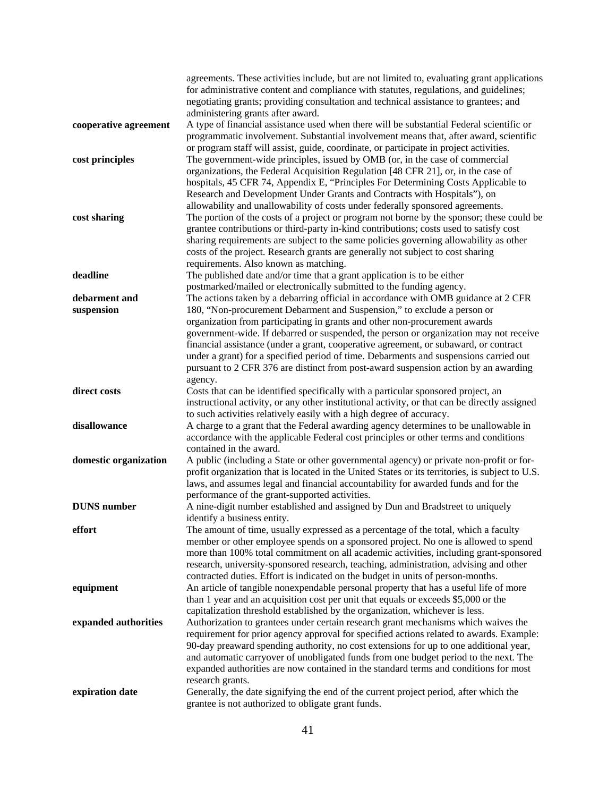|                       | agreements. These activities include, but are not limited to, evaluating grant applications                                                                                           |
|-----------------------|---------------------------------------------------------------------------------------------------------------------------------------------------------------------------------------|
|                       | for administrative content and compliance with statutes, regulations, and guidelines;                                                                                                 |
|                       | negotiating grants; providing consultation and technical assistance to grantees; and                                                                                                  |
|                       | administering grants after award.                                                                                                                                                     |
| cooperative agreement | A type of financial assistance used when there will be substantial Federal scientific or                                                                                              |
|                       | programmatic involvement. Substantial involvement means that, after award, scientific                                                                                                 |
|                       | or program staff will assist, guide, coordinate, or participate in project activities.                                                                                                |
| cost principles       | The government-wide principles, issued by OMB (or, in the case of commercial                                                                                                          |
|                       | organizations, the Federal Acquisition Regulation [48 CFR 21], or, in the case of<br>hospitals, 45 CFR 74, Appendix E, "Principles For Determining Costs Applicable to                |
|                       | Research and Development Under Grants and Contracts with Hospitals"), on                                                                                                              |
|                       | allowability and unallowability of costs under federally sponsored agreements.                                                                                                        |
| cost sharing          | The portion of the costs of a project or program not borne by the sponsor; these could be                                                                                             |
|                       | grantee contributions or third-party in-kind contributions; costs used to satisfy cost                                                                                                |
|                       | sharing requirements are subject to the same policies governing allowability as other                                                                                                 |
|                       | costs of the project. Research grants are generally not subject to cost sharing                                                                                                       |
|                       | requirements. Also known as matching.                                                                                                                                                 |
| deadline              | The published date and/or time that a grant application is to be either                                                                                                               |
|                       | postmarked/mailed or electronically submitted to the funding agency.                                                                                                                  |
| debarment and         | The actions taken by a debarring official in accordance with OMB guidance at 2 CFR                                                                                                    |
| suspension            | 180, "Non-procurement Debarment and Suspension," to exclude a person or                                                                                                               |
|                       | organization from participating in grants and other non-procurement awards                                                                                                            |
|                       | government-wide. If debarred or suspended, the person or organization may not receive<br>financial assistance (under a grant, cooperative agreement, or subaward, or contract         |
|                       | under a grant) for a specified period of time. Debarments and suspensions carried out                                                                                                 |
|                       | pursuant to 2 CFR 376 are distinct from post-award suspension action by an awarding                                                                                                   |
|                       | agency.                                                                                                                                                                               |
| direct costs          | Costs that can be identified specifically with a particular sponsored project, an                                                                                                     |
|                       | instructional activity, or any other institutional activity, or that can be directly assigned                                                                                         |
|                       | to such activities relatively easily with a high degree of accuracy.                                                                                                                  |
| disallowance          | A charge to a grant that the Federal awarding agency determines to be unallowable in                                                                                                  |
|                       | accordance with the applicable Federal cost principles or other terms and conditions                                                                                                  |
|                       | contained in the award.                                                                                                                                                               |
| domestic organization | A public (including a State or other governmental agency) or private non-profit or for-                                                                                               |
|                       | profit organization that is located in the United States or its territories, is subject to U.S.<br>laws, and assumes legal and financial accountability for awarded funds and for the |
|                       | performance of the grant-supported activities.                                                                                                                                        |
| <b>DUNS</b> number    | A nine-digit number established and assigned by Dun and Bradstreet to uniquely                                                                                                        |
|                       | identify a business entity.                                                                                                                                                           |
| effort                | The amount of time, usually expressed as a percentage of the total, which a faculty                                                                                                   |
|                       | member or other employee spends on a sponsored project. No one is allowed to spend                                                                                                    |
|                       | more than 100% total commitment on all academic activities, including grant-sponsored                                                                                                 |
|                       | research, university-sponsored research, teaching, administration, advising and other                                                                                                 |
|                       | contracted duties. Effort is indicated on the budget in units of person-months.                                                                                                       |
| equipment             | An article of tangible nonexpendable personal property that has a useful life of more                                                                                                 |
|                       | than 1 year and an acquisition cost per unit that equals or exceeds \$5,000 or the                                                                                                    |
| expanded authorities  | capitalization threshold established by the organization, whichever is less.<br>Authorization to grantees under certain research grant mechanisms which waives the                    |
|                       | requirement for prior agency approval for specified actions related to awards. Example:                                                                                               |
|                       | 90-day preaward spending authority, no cost extensions for up to one additional year,                                                                                                 |
|                       | and automatic carryover of unobligated funds from one budget period to the next. The                                                                                                  |
|                       | expanded authorities are now contained in the standard terms and conditions for most                                                                                                  |
|                       | research grants.                                                                                                                                                                      |
| expiration date       | Generally, the date signifying the end of the current project period, after which the                                                                                                 |
|                       | grantee is not authorized to obligate grant funds.                                                                                                                                    |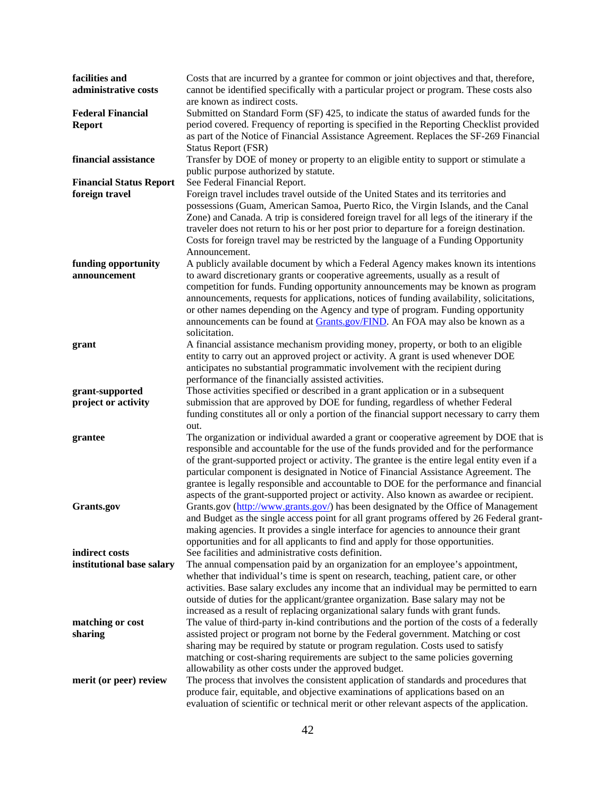| facilities and<br>administrative costs           | Costs that are incurred by a grantee for common or joint objectives and that, therefore,<br>cannot be identified specifically with a particular project or program. These costs also<br>are known as indirect costs.                                                                                                                                                                                                                                                                                                                                         |
|--------------------------------------------------|--------------------------------------------------------------------------------------------------------------------------------------------------------------------------------------------------------------------------------------------------------------------------------------------------------------------------------------------------------------------------------------------------------------------------------------------------------------------------------------------------------------------------------------------------------------|
| <b>Federal Financial</b><br><b>Report</b>        | Submitted on Standard Form (SF) 425, to indicate the status of awarded funds for the<br>period covered. Frequency of reporting is specified in the Reporting Checklist provided<br>as part of the Notice of Financial Assistance Agreement. Replaces the SF-269 Financial<br><b>Status Report (FSR)</b>                                                                                                                                                                                                                                                      |
| financial assistance                             | Transfer by DOE of money or property to an eligible entity to support or stimulate a<br>public purpose authorized by statute.                                                                                                                                                                                                                                                                                                                                                                                                                                |
| <b>Financial Status Report</b><br>foreign travel | See Federal Financial Report.<br>Foreign travel includes travel outside of the United States and its territories and<br>possessions (Guam, American Samoa, Puerto Rico, the Virgin Islands, and the Canal<br>Zone) and Canada. A trip is considered foreign travel for all legs of the itinerary if the<br>traveler does not return to his or her post prior to departure for a foreign destination.<br>Costs for foreign travel may be restricted by the language of a Funding Opportunity<br>Announcement.                                                 |
| funding opportunity<br>announcement              | A publicly available document by which a Federal Agency makes known its intentions<br>to award discretionary grants or cooperative agreements, usually as a result of<br>competition for funds. Funding opportunity announcements may be known as program<br>announcements, requests for applications, notices of funding availability, solicitations,<br>or other names depending on the Agency and type of program. Funding opportunity<br>announcements can be found at Grants.gov/FIND. An FOA may also be known as a<br>solicitation.                   |
| grant                                            | A financial assistance mechanism providing money, property, or both to an eligible<br>entity to carry out an approved project or activity. A grant is used whenever DOE<br>anticipates no substantial programmatic involvement with the recipient during<br>performance of the financially assisted activities.                                                                                                                                                                                                                                              |
| grant-supported<br>project or activity           | Those activities specified or described in a grant application or in a subsequent<br>submission that are approved by DOE for funding, regardless of whether Federal<br>funding constitutes all or only a portion of the financial support necessary to carry them<br>out.                                                                                                                                                                                                                                                                                    |
| grantee                                          | The organization or individual awarded a grant or cooperative agreement by DOE that is<br>responsible and accountable for the use of the funds provided and for the performance<br>of the grant-supported project or activity. The grantee is the entire legal entity even if a<br>particular component is designated in Notice of Financial Assistance Agreement. The<br>grantee is legally responsible and accountable to DOE for the performance and financial<br>aspects of the grant-supported project or activity. Also known as awardee or recipient. |
| Grants.gov<br>indirect costs                     | Grants.gov (http://www.grants.gov/) has been designated by the Office of Management<br>and Budget as the single access point for all grant programs offered by 26 Federal grant-<br>making agencies. It provides a single interface for agencies to announce their grant<br>opportunities and for all applicants to find and apply for those opportunities.<br>See facilities and administrative costs definition.                                                                                                                                           |
| institutional base salary                        | The annual compensation paid by an organization for an employee's appointment,<br>whether that individual's time is spent on research, teaching, patient care, or other<br>activities. Base salary excludes any income that an individual may be permitted to earn<br>outside of duties for the applicant/grantee organization. Base salary may not be<br>increased as a result of replacing organizational salary funds with grant funds.                                                                                                                   |
| matching or cost<br>sharing                      | The value of third-party in-kind contributions and the portion of the costs of a federally<br>assisted project or program not borne by the Federal government. Matching or cost<br>sharing may be required by statute or program regulation. Costs used to satisfy<br>matching or cost-sharing requirements are subject to the same policies governing<br>allowability as other costs under the approved budget.                                                                                                                                             |
| merit (or peer) review                           | The process that involves the consistent application of standards and procedures that<br>produce fair, equitable, and objective examinations of applications based on an<br>evaluation of scientific or technical merit or other relevant aspects of the application.                                                                                                                                                                                                                                                                                        |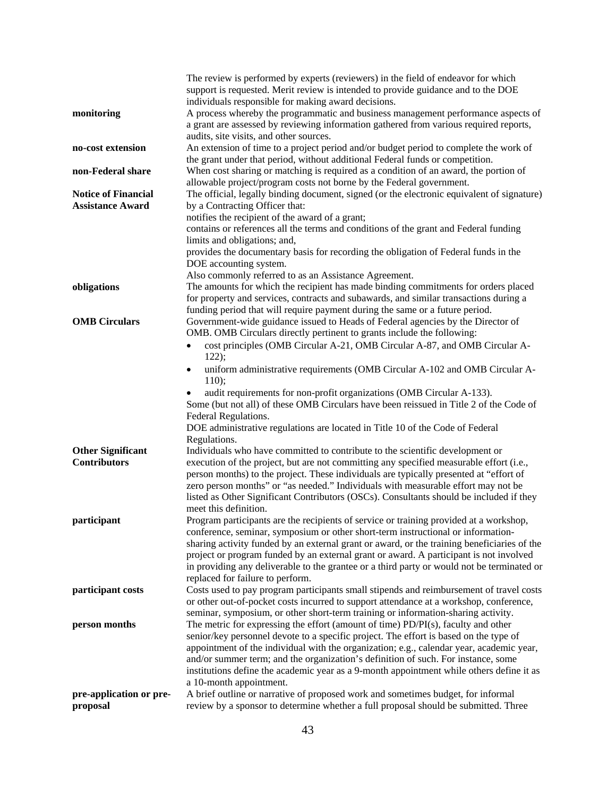|                                     | The review is performed by experts (reviewers) in the field of endeavor for which                                                                                             |
|-------------------------------------|-------------------------------------------------------------------------------------------------------------------------------------------------------------------------------|
|                                     | support is requested. Merit review is intended to provide guidance and to the DOE                                                                                             |
|                                     | individuals responsible for making award decisions.                                                                                                                           |
| monitoring                          | A process whereby the programmatic and business management performance aspects of                                                                                             |
|                                     | a grant are assessed by reviewing information gathered from various required reports,                                                                                         |
|                                     | audits, site visits, and other sources.                                                                                                                                       |
| no-cost extension                   | An extension of time to a project period and/or budget period to complete the work of                                                                                         |
|                                     | the grant under that period, without additional Federal funds or competition.                                                                                                 |
| non-Federal share                   | When cost sharing or matching is required as a condition of an award, the portion of                                                                                          |
|                                     | allowable project/program costs not borne by the Federal government.                                                                                                          |
| <b>Notice of Financial</b>          | The official, legally binding document, signed (or the electronic equivalent of signature)                                                                                    |
| <b>Assistance Award</b>             | by a Contracting Officer that:                                                                                                                                                |
|                                     | notifies the recipient of the award of a grant;                                                                                                                               |
|                                     | contains or references all the terms and conditions of the grant and Federal funding                                                                                          |
|                                     | limits and obligations; and,                                                                                                                                                  |
|                                     | provides the documentary basis for recording the obligation of Federal funds in the                                                                                           |
|                                     | DOE accounting system.                                                                                                                                                        |
|                                     | Also commonly referred to as an Assistance Agreement.                                                                                                                         |
| obligations                         | The amounts for which the recipient has made binding commitments for orders placed                                                                                            |
|                                     | for property and services, contracts and subawards, and similar transactions during a                                                                                         |
|                                     | funding period that will require payment during the same or a future period.                                                                                                  |
| <b>OMB</b> Circulars                | Government-wide guidance issued to Heads of Federal agencies by the Director of                                                                                               |
|                                     | OMB. OMB Circulars directly pertinent to grants include the following:                                                                                                        |
|                                     | cost principles (OMB Circular A-21, OMB Circular A-87, and OMB Circular A-                                                                                                    |
|                                     | $122$ ;                                                                                                                                                                       |
|                                     | uniform administrative requirements (OMB Circular A-102 and OMB Circular A-                                                                                                   |
|                                     | 110);                                                                                                                                                                         |
|                                     | audit requirements for non-profit organizations (OMB Circular A-133).                                                                                                         |
|                                     | Some (but not all) of these OMB Circulars have been reissued in Title 2 of the Code of                                                                                        |
|                                     | Federal Regulations.                                                                                                                                                          |
|                                     | DOE administrative regulations are located in Title 10 of the Code of Federal                                                                                                 |
|                                     | Regulations.                                                                                                                                                                  |
| <b>Other Significant</b>            | Individuals who have committed to contribute to the scientific development or                                                                                                 |
| <b>Contributors</b>                 | execution of the project, but are not committing any specified measurable effort (i.e.,                                                                                       |
|                                     | person months) to the project. These individuals are typically presented at "effort of                                                                                        |
|                                     | zero person months" or "as needed." Individuals with measurable effort may not be                                                                                             |
|                                     | listed as Other Significant Contributors (OSCs). Consultants should be included if they                                                                                       |
|                                     | meet this definition.                                                                                                                                                         |
| participant                         |                                                                                                                                                                               |
|                                     | Program participants are the recipients of service or training provided at a workshop,<br>conference, seminar, symposium or other short-term instructional or information-    |
|                                     | sharing activity funded by an external grant or award, or the training beneficiaries of the                                                                                   |
|                                     | project or program funded by an external grant or award. A participant is not involved                                                                                        |
|                                     | in providing any deliverable to the grantee or a third party or would not be terminated or                                                                                    |
|                                     | replaced for failure to perform.                                                                                                                                              |
|                                     | Costs used to pay program participants small stipends and reimbursement of travel costs                                                                                       |
| participant costs                   | or other out-of-pocket costs incurred to support attendance at a workshop, conference,                                                                                        |
|                                     | seminar, symposium, or other short-term training or information-sharing activity.                                                                                             |
|                                     | The metric for expressing the effort (amount of time) $PD/PI(s)$ , faculty and other                                                                                          |
| person months                       | senior/key personnel devote to a specific project. The effort is based on the type of                                                                                         |
|                                     |                                                                                                                                                                               |
|                                     | appointment of the individual with the organization; e.g., calendar year, academic year,                                                                                      |
|                                     | and/or summer term; and the organization's definition of such. For instance, some<br>institutions define the academic year as a 9-month appointment while others define it as |
|                                     |                                                                                                                                                                               |
|                                     | a 10-month appointment.<br>A brief outline or narrative of proposed work and sometimes budget, for informal                                                                   |
| pre-application or pre-<br>proposal | review by a sponsor to determine whether a full proposal should be submitted. Three                                                                                           |
|                                     |                                                                                                                                                                               |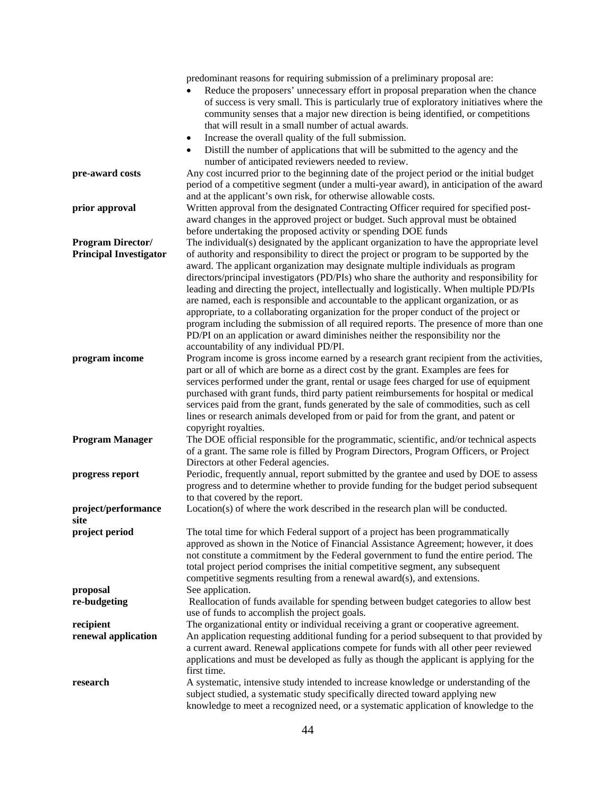|                                                           | predominant reasons for requiring submission of a preliminary proposal are:<br>Reduce the proposers' unnecessary effort in proposal preparation when the chance<br>of success is very small. This is particularly true of exploratory initiatives where the<br>community senses that a major new direction is being identified, or competitions<br>that will result in a small number of actual awards.                                                                                                                                                                                                                                                                                                                                                                                                                                                                 |
|-----------------------------------------------------------|-------------------------------------------------------------------------------------------------------------------------------------------------------------------------------------------------------------------------------------------------------------------------------------------------------------------------------------------------------------------------------------------------------------------------------------------------------------------------------------------------------------------------------------------------------------------------------------------------------------------------------------------------------------------------------------------------------------------------------------------------------------------------------------------------------------------------------------------------------------------------|
|                                                           | Increase the overall quality of the full submission.                                                                                                                                                                                                                                                                                                                                                                                                                                                                                                                                                                                                                                                                                                                                                                                                                    |
|                                                           | Distill the number of applications that will be submitted to the agency and the<br>number of anticipated reviewers needed to review.                                                                                                                                                                                                                                                                                                                                                                                                                                                                                                                                                                                                                                                                                                                                    |
| pre-award costs                                           | Any cost incurred prior to the beginning date of the project period or the initial budget<br>period of a competitive segment (under a multi-year award), in anticipation of the award<br>and at the applicant's own risk, for otherwise allowable costs.                                                                                                                                                                                                                                                                                                                                                                                                                                                                                                                                                                                                                |
| prior approval                                            | Written approval from the designated Contracting Officer required for specified post-<br>award changes in the approved project or budget. Such approval must be obtained<br>before undertaking the proposed activity or spending DOE funds                                                                                                                                                                                                                                                                                                                                                                                                                                                                                                                                                                                                                              |
| <b>Program Director/</b><br><b>Principal Investigator</b> | The individual(s) designated by the applicant organization to have the appropriate level<br>of authority and responsibility to direct the project or program to be supported by the<br>award. The applicant organization may designate multiple individuals as program<br>directors/principal investigators (PD/PIs) who share the authority and responsibility for<br>leading and directing the project, intellectually and logistically. When multiple PD/PIs<br>are named, each is responsible and accountable to the applicant organization, or as<br>appropriate, to a collaborating organization for the proper conduct of the project or<br>program including the submission of all required reports. The presence of more than one<br>PD/PI on an application or award diminishes neither the responsibility nor the<br>accountability of any individual PD/PI. |
| program income                                            | Program income is gross income earned by a research grant recipient from the activities,<br>part or all of which are borne as a direct cost by the grant. Examples are fees for<br>services performed under the grant, rental or usage fees charged for use of equipment<br>purchased with grant funds, third party patient reimbursements for hospital or medical<br>services paid from the grant, funds generated by the sale of commodities, such as cell<br>lines or research animals developed from or paid for from the grant, and patent or<br>copyright royalties.                                                                                                                                                                                                                                                                                              |
| <b>Program Manager</b>                                    | The DOE official responsible for the programmatic, scientific, and/or technical aspects<br>of a grant. The same role is filled by Program Directors, Program Officers, or Project<br>Directors at other Federal agencies.                                                                                                                                                                                                                                                                                                                                                                                                                                                                                                                                                                                                                                               |
| progress report                                           | Periodic, frequently annual, report submitted by the grantee and used by DOE to assess<br>progress and to determine whether to provide funding for the budget period subsequent<br>to that covered by the report.                                                                                                                                                                                                                                                                                                                                                                                                                                                                                                                                                                                                                                                       |
| project/performance<br>site                               | Location(s) of where the work described in the research plan will be conducted.                                                                                                                                                                                                                                                                                                                                                                                                                                                                                                                                                                                                                                                                                                                                                                                         |
| project period                                            | The total time for which Federal support of a project has been programmatically<br>approved as shown in the Notice of Financial Assistance Agreement; however, it does<br>not constitute a commitment by the Federal government to fund the entire period. The<br>total project period comprises the initial competitive segment, any subsequent<br>competitive segments resulting from a renewal award(s), and extensions.                                                                                                                                                                                                                                                                                                                                                                                                                                             |
| proposal                                                  | See application.                                                                                                                                                                                                                                                                                                                                                                                                                                                                                                                                                                                                                                                                                                                                                                                                                                                        |
| re-budgeting                                              | Reallocation of funds available for spending between budget categories to allow best<br>use of funds to accomplish the project goals.                                                                                                                                                                                                                                                                                                                                                                                                                                                                                                                                                                                                                                                                                                                                   |
| recipient                                                 | The organizational entity or individual receiving a grant or cooperative agreement.                                                                                                                                                                                                                                                                                                                                                                                                                                                                                                                                                                                                                                                                                                                                                                                     |
| renewal application                                       | An application requesting additional funding for a period subsequent to that provided by<br>a current award. Renewal applications compete for funds with all other peer reviewed<br>applications and must be developed as fully as though the applicant is applying for the<br>first time.                                                                                                                                                                                                                                                                                                                                                                                                                                                                                                                                                                              |
| research                                                  | A systematic, intensive study intended to increase knowledge or understanding of the<br>subject studied, a systematic study specifically directed toward applying new<br>knowledge to meet a recognized need, or a systematic application of knowledge to the                                                                                                                                                                                                                                                                                                                                                                                                                                                                                                                                                                                                           |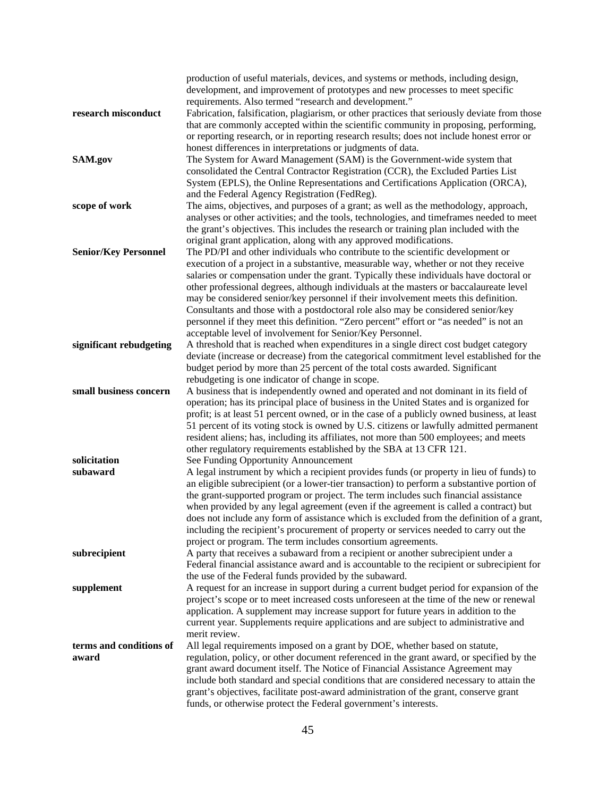|                             | production of useful materials, devices, and systems or methods, including design,                                                                                                   |
|-----------------------------|--------------------------------------------------------------------------------------------------------------------------------------------------------------------------------------|
|                             | development, and improvement of prototypes and new processes to meet specific                                                                                                        |
|                             | requirements. Also termed "research and development."                                                                                                                                |
| research misconduct         | Fabrication, falsification, plagiarism, or other practices that seriously deviate from those<br>that are commonly accepted within the scientific community in proposing, performing, |
|                             | or reporting research, or in reporting research results; does not include honest error or                                                                                            |
|                             | honest differences in interpretations or judgments of data.                                                                                                                          |
| SAM.gov                     | The System for Award Management (SAM) is the Government-wide system that                                                                                                             |
|                             | consolidated the Central Contractor Registration (CCR), the Excluded Parties List                                                                                                    |
|                             | System (EPLS), the Online Representations and Certifications Application (ORCA),                                                                                                     |
|                             | and the Federal Agency Registration (FedReg).                                                                                                                                        |
| scope of work               | The aims, objectives, and purposes of a grant; as well as the methodology, approach,                                                                                                 |
|                             | analyses or other activities; and the tools, technologies, and timeframes needed to meet                                                                                             |
|                             | the grant's objectives. This includes the research or training plan included with the                                                                                                |
|                             | original grant application, along with any approved modifications.                                                                                                                   |
| <b>Senior/Key Personnel</b> | The PD/PI and other individuals who contribute to the scientific development or                                                                                                      |
|                             | execution of a project in a substantive, measurable way, whether or not they receive                                                                                                 |
|                             | salaries or compensation under the grant. Typically these individuals have doctoral or                                                                                               |
|                             | other professional degrees, although individuals at the masters or baccalaureate level                                                                                               |
|                             | may be considered senior/key personnel if their involvement meets this definition.                                                                                                   |
|                             | Consultants and those with a postdoctoral role also may be considered senior/key                                                                                                     |
|                             | personnel if they meet this definition. "Zero percent" effort or "as needed" is not an                                                                                               |
|                             | acceptable level of involvement for Senior/Key Personnel.                                                                                                                            |
| significant rebudgeting     | A threshold that is reached when expenditures in a single direct cost budget category                                                                                                |
|                             | deviate (increase or decrease) from the categorical commitment level established for the                                                                                             |
|                             | budget period by more than 25 percent of the total costs awarded. Significant<br>rebudgeting is one indicator of change in scope.                                                    |
| small business concern      | A business that is independently owned and operated and not dominant in its field of                                                                                                 |
|                             | operation; has its principal place of business in the United States and is organized for                                                                                             |
|                             | profit; is at least 51 percent owned, or in the case of a publicly owned business, at least                                                                                          |
|                             | 51 percent of its voting stock is owned by U.S. citizens or lawfully admitted permanent                                                                                              |
|                             | resident aliens; has, including its affiliates, not more than 500 employees; and meets                                                                                               |
|                             | other regulatory requirements established by the SBA at 13 CFR 121.                                                                                                                  |
| solicitation                | See Funding Opportunity Announcement                                                                                                                                                 |
| subaward                    | A legal instrument by which a recipient provides funds (or property in lieu of funds) to                                                                                             |
|                             | an eligible subrecipient (or a lower-tier transaction) to perform a substantive portion of                                                                                           |
|                             | the grant-supported program or project. The term includes such financial assistance                                                                                                  |
|                             | when provided by any legal agreement (even if the agreement is called a contract) but                                                                                                |
|                             | does not include any form of assistance which is excluded from the definition of a grant,                                                                                            |
|                             | including the recipient's procurement of property or services needed to carry out the                                                                                                |
| subrecipient                | project or program. The term includes consortium agreements.<br>A party that receives a subaward from a recipient or another subrecipient under a                                    |
|                             | Federal financial assistance award and is accountable to the recipient or subrecipient for                                                                                           |
|                             | the use of the Federal funds provided by the subaward.                                                                                                                               |
| supplement                  | A request for an increase in support during a current budget period for expansion of the                                                                                             |
|                             | project's scope or to meet increased costs unforeseen at the time of the new or renewal                                                                                              |
|                             | application. A supplement may increase support for future years in addition to the                                                                                                   |
|                             | current year. Supplements require applications and are subject to administrative and                                                                                                 |
|                             | merit review.                                                                                                                                                                        |
| terms and conditions of     | All legal requirements imposed on a grant by DOE, whether based on statute,                                                                                                          |
| award                       | regulation, policy, or other document referenced in the grant award, or specified by the                                                                                             |
|                             | grant award document itself. The Notice of Financial Assistance Agreement may                                                                                                        |
|                             | include both standard and special conditions that are considered necessary to attain the                                                                                             |
|                             | grant's objectives, facilitate post-award administration of the grant, conserve grant                                                                                                |
|                             | funds, or otherwise protect the Federal government's interests.                                                                                                                      |